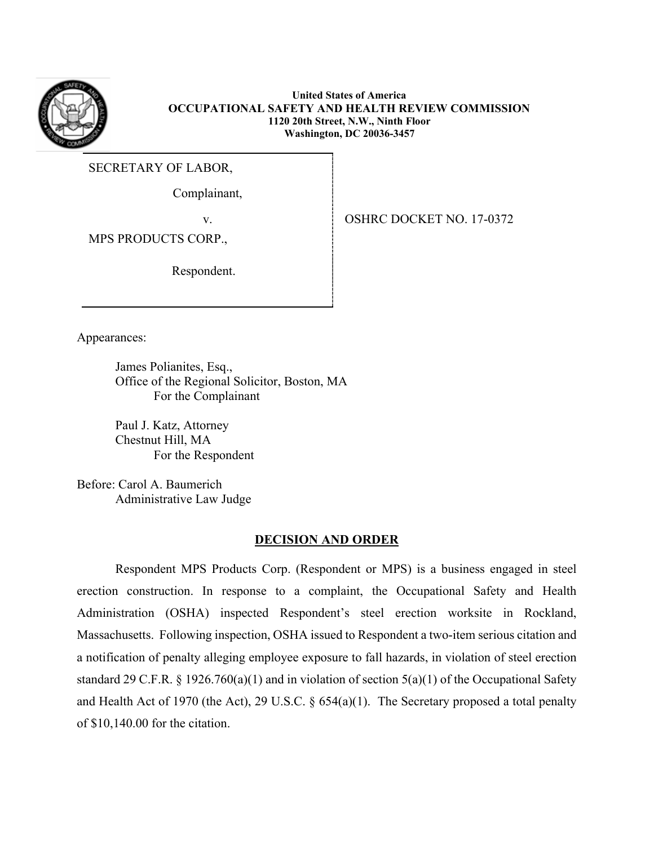

**United States of America OCCUPATIONAL SAFETY AND HEALTH REVIEW COMMISSION 1120 20th Street, N.W., Ninth Floor Washington, DC 20036-3457**

SECRETARY OF LABOR,

Complainant,

v. SHRC DOCKET NO. 17-0372

MPS PRODUCTS CORP.,

Respondent.

Appearances:

James Polianites, Esq., Office of the Regional Solicitor, Boston, MA For the Complainant

Paul J. Katz, Attorney Chestnut Hill, MA For the Respondent

Before: Carol A. Baumerich Administrative Law Judge

### **DECISION AND ORDER**

 Respondent MPS Products Corp. (Respondent or MPS) is a business engaged in steel erection construction. In response to a complaint, the Occupational Safety and Health Administration (OSHA) inspected Respondent's steel erection worksite in Rockland, Massachusetts. Following inspection, OSHA issued to Respondent a two-item serious citation and a notification of penalty alleging employee exposure to fall hazards, in violation of steel erection standard 29 C.F.R. § 1926.760(a)(1) and in violation of section  $5(a)(1)$  of the Occupational Safety and Health Act of 1970 (the Act), 29 U.S.C. § 654(a)(1). The Secretary proposed a total penalty of \$10,140.00 for the citation.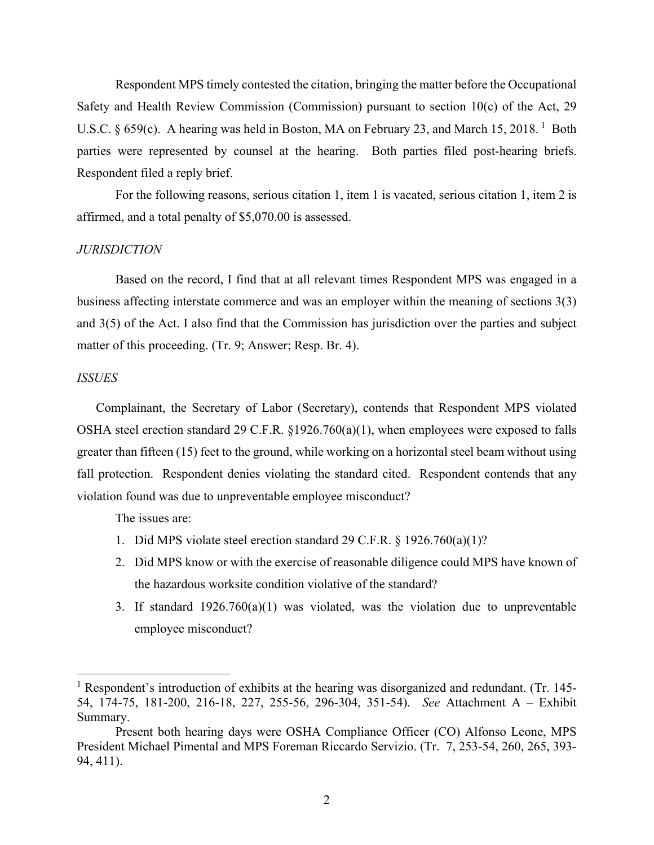Respondent MPS timely contested the citation, bringing the matter before the Occupational Safety and Health Review Commission (Commission) pursuant to section 10(c) of the Act, 29 U.S.C. § 659(c). A hearing was held in Boston, MA on February 23, and March [1](#page-1-0)5, 2018.<sup>1</sup> Both parties were represented by counsel at the hearing. Both parties filed post-hearing briefs. Respondent filed a reply brief.

For the following reasons, serious citation 1, item 1 is vacated, serious citation 1, item 2 is affirmed, and a total penalty of \$5,070.00 is assessed.

#### *JURISDICTION*

Based on the record, I find that at all relevant times Respondent MPS was engaged in a business affecting interstate commerce and was an employer within the meaning of sections 3(3) and 3(5) of the Act. I also find that the Commission has jurisdiction over the parties and subject matter of this proceeding. (Tr. 9; Answer; Resp. Br. 4).

#### *ISSUES*

Complainant, the Secretary of Labor (Secretary), contends that Respondent MPS violated OSHA steel erection standard 29 C.F.R. §1926.760(a)(1), when employees were exposed to falls greater than fifteen (15) feet to the ground, while working on a horizontal steel beam without using fall protection. Respondent denies violating the standard cited. Respondent contends that any violation found was due to unpreventable employee misconduct?

The issues are:

- 1. Did MPS violate steel erection standard 29 C.F.R. § 1926.760(a)(1)?
- 2. Did MPS know or with the exercise of reasonable diligence could MPS have known of the hazardous worksite condition violative of the standard?
- 3. If standard 1926.760(a)(1) was violated, was the violation due to unpreventable employee misconduct?

<span id="page-1-0"></span><sup>&</sup>lt;sup>1</sup> Respondent's introduction of exhibits at the hearing was disorganized and redundant. (Tr. 145-54, 174-75, 181-200, 216-18, 227, 255-56, 296-304, 351-54). *See* Attachment A – Exhibit Summary.

Present both hearing days were OSHA Compliance Officer (CO) Alfonso Leone, MPS President Michael Pimental and MPS Foreman Riccardo Servizio. (Tr. 7, 253-54, 260, 265, 393- 94, 411).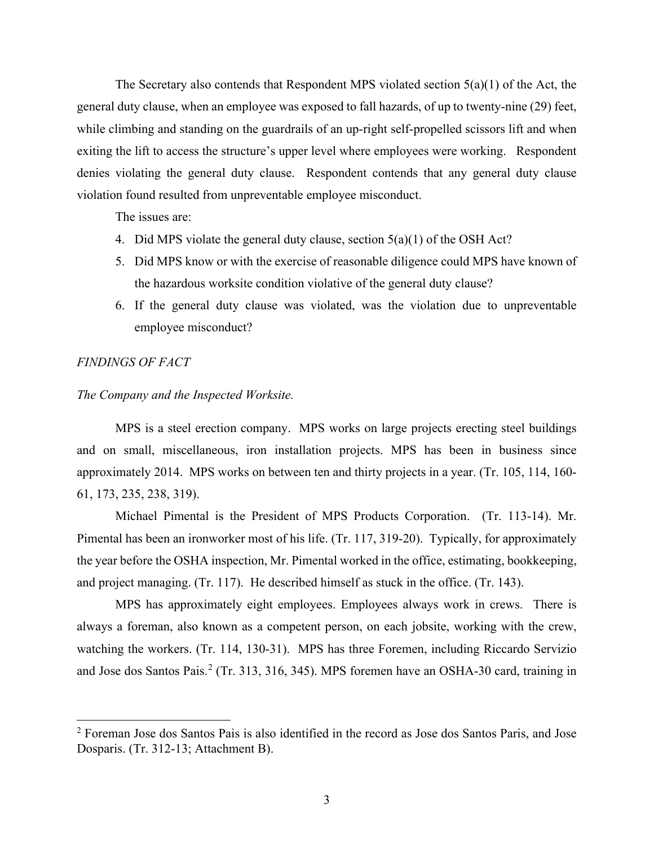The Secretary also contends that Respondent MPS violated section  $5(a)(1)$  of the Act, the general duty clause, when an employee was exposed to fall hazards, of up to twenty-nine (29) feet, while climbing and standing on the guardrails of an up-right self-propelled scissors lift and when exiting the lift to access the structure's upper level where employees were working. Respondent denies violating the general duty clause. Respondent contends that any general duty clause violation found resulted from unpreventable employee misconduct.

The issues are:

- 4. Did MPS violate the general duty clause, section 5(a)(1) of the OSH Act?
- 5. Did MPS know or with the exercise of reasonable diligence could MPS have known of the hazardous worksite condition violative of the general duty clause?
- 6. If the general duty clause was violated, was the violation due to unpreventable employee misconduct?

#### *FINDINGS OF FACT*

#### *The Company and the Inspected Worksite.*

MPS is a steel erection company. MPS works on large projects erecting steel buildings and on small, miscellaneous, iron installation projects. MPS has been in business since approximately 2014. MPS works on between ten and thirty projects in a year. (Tr. 105, 114, 160- 61, 173, 235, 238, 319).

Michael Pimental is the President of MPS Products Corporation. (Tr. 113-14). Mr. Pimental has been an ironworker most of his life. (Tr. 117, 319-20). Typically, for approximately the year before the OSHA inspection, Mr. Pimental worked in the office, estimating, bookkeeping, and project managing. (Tr. 117). He described himself as stuck in the office. (Tr. 143).

MPS has approximately eight employees. Employees always work in crews. There is always a foreman, also known as a competent person, on each jobsite, working with the crew, watching the workers. (Tr. 114, 130-31). MPS has three Foremen, including Riccardo Servizio and Jose dos Santos Pais.<sup>[2](#page-2-0)</sup> (Tr. 313, 316, 345). MPS foremen have an OSHA-30 card, training in

<span id="page-2-0"></span><sup>&</sup>lt;sup>2</sup> Foreman Jose dos Santos Pais is also identified in the record as Jose dos Santos Paris, and Jose Dosparis. (Tr. 312-13; Attachment B).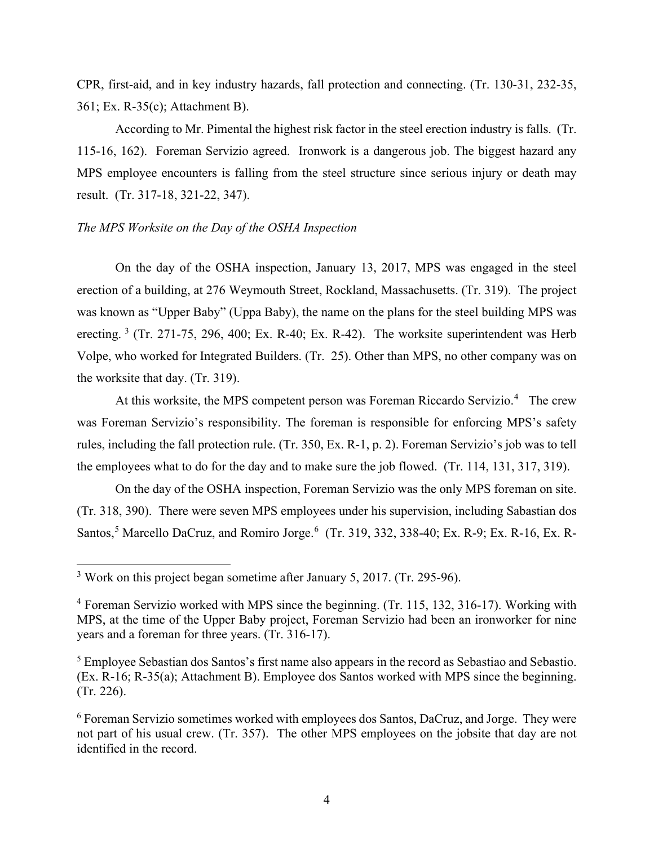CPR, first-aid, and in key industry hazards, fall protection and connecting. (Tr. 130-31, 232-35, 361; Ex. R-35(c); Attachment B).

According to Mr. Pimental the highest risk factor in the steel erection industry is falls. (Tr. 115-16, 162). Foreman Servizio agreed. Ironwork is a dangerous job. The biggest hazard any MPS employee encounters is falling from the steel structure since serious injury or death may result. (Tr. 317-18, 321-22, 347).

#### *The MPS Worksite on the Day of the OSHA Inspection*

On the day of the OSHA inspection, January 13, 2017, MPS was engaged in the steel erection of a building, at 276 Weymouth Street, Rockland, Massachusetts. (Tr. 319). The project was known as "Upper Baby" (Uppa Baby), the name on the plans for the steel building MPS was erecting.  $3$  (Tr. 271-75, 296, 400; Ex. R-40; Ex. R-42). The worksite superintendent was Herb Volpe, who worked for Integrated Builders. (Tr. 25). Other than MPS, no other company was on the worksite that day. (Tr. 319).

At this worksite, the MPS competent person was Foreman Riccardo Servizio.<sup>[4](#page-3-1)</sup> The crew was Foreman Servizio's responsibility. The foreman is responsible for enforcing MPS's safety rules, including the fall protection rule. (Tr. 350, Ex. R-1, p. 2). Foreman Servizio's job was to tell the employees what to do for the day and to make sure the job flowed. (Tr. 114, 131, 317, 319).

On the day of the OSHA inspection, Foreman Servizio was the only MPS foreman on site. (Tr. 318, 390). There were seven MPS employees under his supervision, including Sabastian dos Santos,<sup>[5](#page-3-2)</sup> Marcello DaCruz, and Romiro Jorge.<sup>[6](#page-3-3)</sup> (Tr. 319, 332, 338-40; Ex. R-9; Ex. R-16, Ex. R-

<span id="page-3-0"></span><sup>&</sup>lt;sup>3</sup> Work on this project began sometime after January 5, 2017. (Tr. 295-96).

<span id="page-3-1"></span><sup>4</sup> Foreman Servizio worked with MPS since the beginning. (Tr. 115, 132, 316-17). Working with MPS, at the time of the Upper Baby project, Foreman Servizio had been an ironworker for nine years and a foreman for three years. (Tr. 316-17).

<span id="page-3-2"></span><sup>&</sup>lt;sup>5</sup> Employee Sebastian dos Santos's first name also appears in the record as Sebastiao and Sebastio. (Ex. R-16; R-35(a); Attachment B). Employee dos Santos worked with MPS since the beginning. (Tr. 226).

<span id="page-3-3"></span><sup>6</sup> Foreman Servizio sometimes worked with employees dos Santos, DaCruz, and Jorge. They were not part of his usual crew. (Tr. 357). The other MPS employees on the jobsite that day are not identified in the record.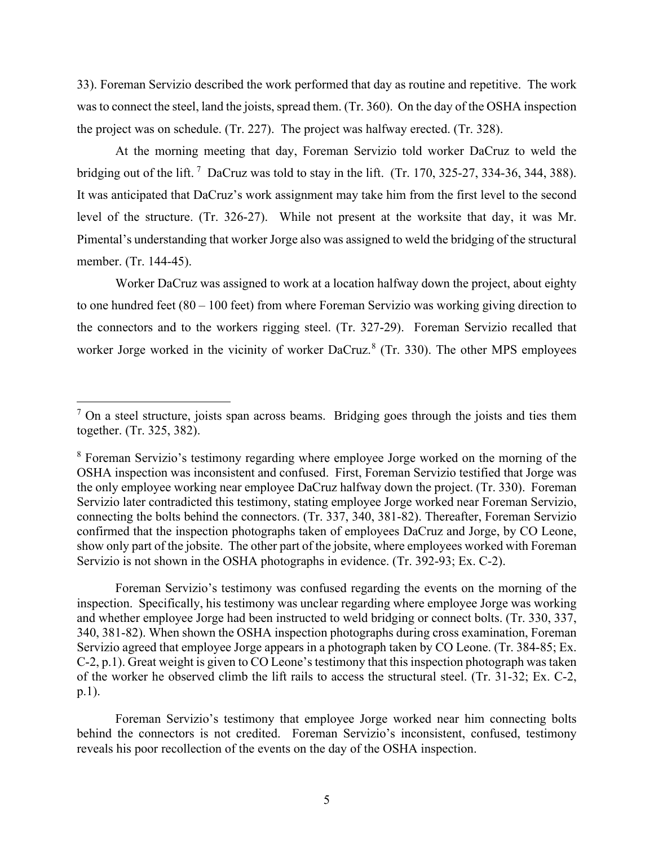33). Foreman Servizio described the work performed that day as routine and repetitive. The work was to connect the steel, land the joists, spread them. (Tr. 360). On the day of the OSHA inspection the project was on schedule. (Tr. 227). The project was halfway erected. (Tr. 328).

At the morning meeting that day, Foreman Servizio told worker DaCruz to weld the bridging out of the lift.<sup>[7](#page-4-0)</sup> DaCruz was told to stay in the lift. (Tr. 170, 325-27, 334-36, 344, 388). It was anticipated that DaCruz's work assignment may take him from the first level to the second level of the structure. (Tr. 326-27). While not present at the worksite that day, it was Mr. Pimental's understanding that worker Jorge also was assigned to weld the bridging of the structural member. (Tr. 144-45).

Worker DaCruz was assigned to work at a location halfway down the project, about eighty to one hundred feet (80 – 100 feet) from where Foreman Servizio was working giving direction to the connectors and to the workers rigging steel. (Tr. 327-29). Foreman Servizio recalled that worker Jorge worked in the vicinity of worker DaCruz.<sup>[8](#page-4-1)</sup> (Tr. 330). The other MPS employees

Foreman Servizio's testimony was confused regarding the events on the morning of the inspection. Specifically, his testimony was unclear regarding where employee Jorge was working and whether employee Jorge had been instructed to weld bridging or connect bolts. (Tr. 330, 337, 340, 381-82). When shown the OSHA inspection photographs during cross examination, Foreman Servizio agreed that employee Jorge appears in a photograph taken by CO Leone. (Tr. 384-85; Ex. C-2, p.1). Great weight is given to CO Leone's testimony that this inspection photograph was taken of the worker he observed climb the lift rails to access the structural steel. (Tr. 31-32; Ex. C-2, p.1).

Foreman Servizio's testimony that employee Jorge worked near him connecting bolts behind the connectors is not credited. Foreman Servizio's inconsistent, confused, testimony reveals his poor recollection of the events on the day of the OSHA inspection.

<span id="page-4-0"></span> $<sup>7</sup>$  On a steel structure, joists span across beams. Bridging goes through the joists and ties them</sup> together. (Tr. 325, 382).

<span id="page-4-1"></span><sup>8</sup> Foreman Servizio's testimony regarding where employee Jorge worked on the morning of the OSHA inspection was inconsistent and confused. First, Foreman Servizio testified that Jorge was the only employee working near employee DaCruz halfway down the project. (Tr. 330). Foreman Servizio later contradicted this testimony, stating employee Jorge worked near Foreman Servizio, connecting the bolts behind the connectors. (Tr. 337, 340, 381-82). Thereafter, Foreman Servizio confirmed that the inspection photographs taken of employees DaCruz and Jorge, by CO Leone, show only part of the jobsite. The other part of the jobsite, where employees worked with Foreman Servizio is not shown in the OSHA photographs in evidence. (Tr. 392-93; Ex. C-2).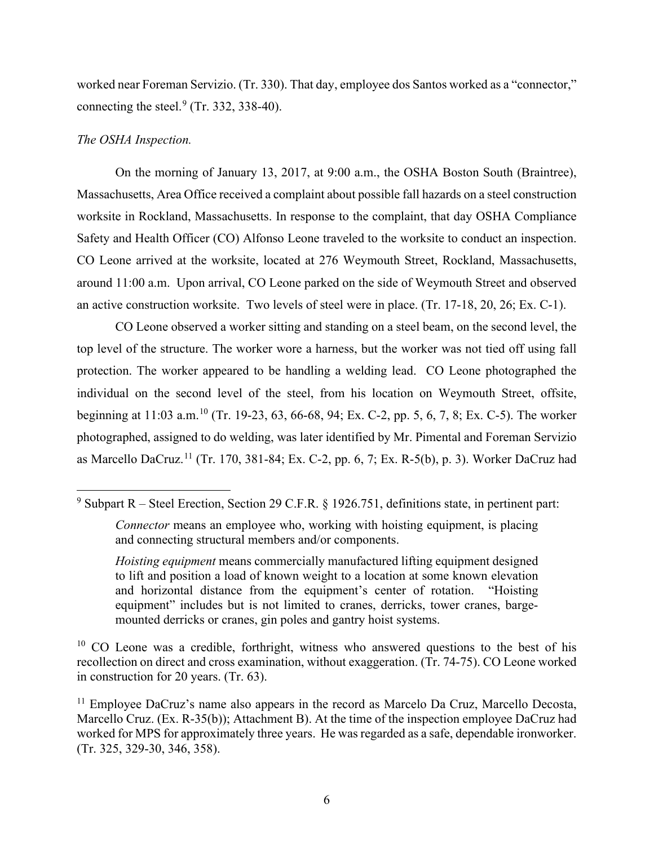worked near Foreman Servizio. (Tr. 330). That day, employee dos Santos worked as a "connector," connecting the steel. $9$  (Tr. 332, 338-40).

### *The OSHA Inspection.*

On the morning of January 13, 2017, at 9:00 a.m., the OSHA Boston South (Braintree), Massachusetts, Area Office received a complaint about possible fall hazards on a steel construction worksite in Rockland, Massachusetts. In response to the complaint, that day OSHA Compliance Safety and Health Officer (CO) Alfonso Leone traveled to the worksite to conduct an inspection. CO Leone arrived at the worksite, located at 276 Weymouth Street, Rockland, Massachusetts, around 11:00 a.m. Upon arrival, CO Leone parked on the side of Weymouth Street and observed an active construction worksite. Two levels of steel were in place. (Tr. 17-18, 20, 26; Ex. C-1).

CO Leone observed a worker sitting and standing on a steel beam, on the second level, the top level of the structure. The worker wore a harness, but the worker was not tied off using fall protection. The worker appeared to be handling a welding lead. CO Leone photographed the individual on the second level of the steel, from his location on Weymouth Street, offsite, beginning at 11:03 a.m.[10](#page-5-1) (Tr. 19-23, 63, 66-68, 94; Ex. C-2, pp. 5, 6, 7, 8; Ex. C-5). The worker photographed, assigned to do welding, was later identified by Mr. Pimental and Foreman Servizio as Marcello DaCruz.<sup>[11](#page-5-2)</sup> (Tr. 170, 381-84; Ex. C-2, pp. 6, 7; Ex. R-5(b), p. 3). Worker DaCruz had

<span id="page-5-1"></span> $10$  CO Leone was a credible, forthright, witness who answered questions to the best of his recollection on direct and cross examination, without exaggeration. (Tr. 74-75). CO Leone worked in construction for 20 years. (Tr. 63).

<span id="page-5-0"></span><sup>&</sup>lt;sup>9</sup> Subpart R – Steel Erection, Section 29 C.F.R. § 1926.751, definitions state, in pertinent part:

*Connector* means an employee who, working with hoisting equipment, is placing and connecting structural members and/or components.

*Hoisting equipment* means commercially manufactured lifting equipment designed to lift and position a load of known weight to a location at some known elevation and horizontal distance from the equipment's center of rotation. "Hoisting equipment" includes but is not limited to cranes, derricks, tower cranes, bargemounted derricks or cranes, gin poles and gantry hoist systems.

<span id="page-5-2"></span><sup>&</sup>lt;sup>11</sup> Employee DaCruz's name also appears in the record as Marcelo Da Cruz, Marcello Decosta, Marcello Cruz. (Ex. R-35(b)); Attachment B). At the time of the inspection employee DaCruz had worked for MPS for approximately three years. He was regarded as a safe, dependable ironworker. (Tr. 325, 329-30, 346, 358).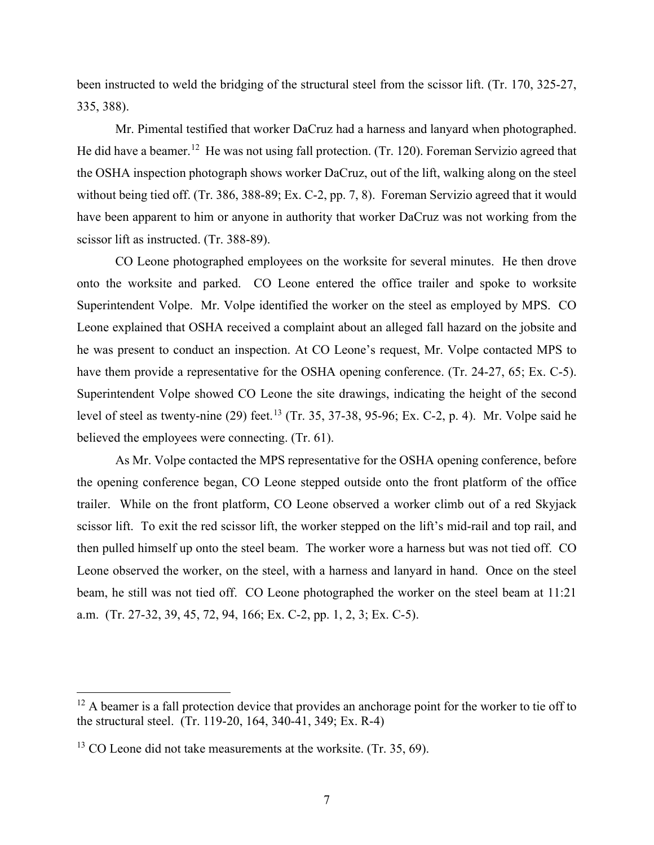been instructed to weld the bridging of the structural steel from the scissor lift. (Tr. 170, 325-27, 335, 388).

Mr. Pimental testified that worker DaCruz had a harness and lanyard when photographed. He did have a beamer.<sup>[12](#page-6-0)</sup> He was not using fall protection. (Tr. 120). Foreman Servizio agreed that the OSHA inspection photograph shows worker DaCruz, out of the lift, walking along on the steel without being tied off. (Tr. 386, 388-89; Ex. C-2, pp. 7, 8). Foreman Servizio agreed that it would have been apparent to him or anyone in authority that worker DaCruz was not working from the scissor lift as instructed. (Tr. 388-89).

CO Leone photographed employees on the worksite for several minutes. He then drove onto the worksite and parked. CO Leone entered the office trailer and spoke to worksite Superintendent Volpe. Mr. Volpe identified the worker on the steel as employed by MPS. CO Leone explained that OSHA received a complaint about an alleged fall hazard on the jobsite and he was present to conduct an inspection. At CO Leone's request, Mr. Volpe contacted MPS to have them provide a representative for the OSHA opening conference. (Tr. 24-27, 65; Ex. C-5). Superintendent Volpe showed CO Leone the site drawings, indicating the height of the second level of steel as twenty-nine (29) feet.<sup>[13](#page-6-1)</sup> (Tr. 35, 37-38, 95-96; Ex. C-2, p. 4). Mr. Volpe said he believed the employees were connecting. (Tr. 61).

As Mr. Volpe contacted the MPS representative for the OSHA opening conference, before the opening conference began, CO Leone stepped outside onto the front platform of the office trailer. While on the front platform, CO Leone observed a worker climb out of a red Skyjack scissor lift. To exit the red scissor lift, the worker stepped on the lift's mid-rail and top rail, and then pulled himself up onto the steel beam. The worker wore a harness but was not tied off. CO Leone observed the worker, on the steel, with a harness and lanyard in hand. Once on the steel beam, he still was not tied off. CO Leone photographed the worker on the steel beam at 11:21 a.m. (Tr. 27-32, 39, 45, 72, 94, 166; Ex. C-2, pp. 1, 2, 3; Ex. C-5).

<span id="page-6-0"></span><sup>&</sup>lt;sup>12</sup> A beamer is a fall protection device that provides an anchorage point for the worker to tie off to the structural steel. (Tr. 119-20, 164, 340-41, 349; Ex. R-4)

<span id="page-6-1"></span> $13$  CO Leone did not take measurements at the worksite. (Tr. 35, 69).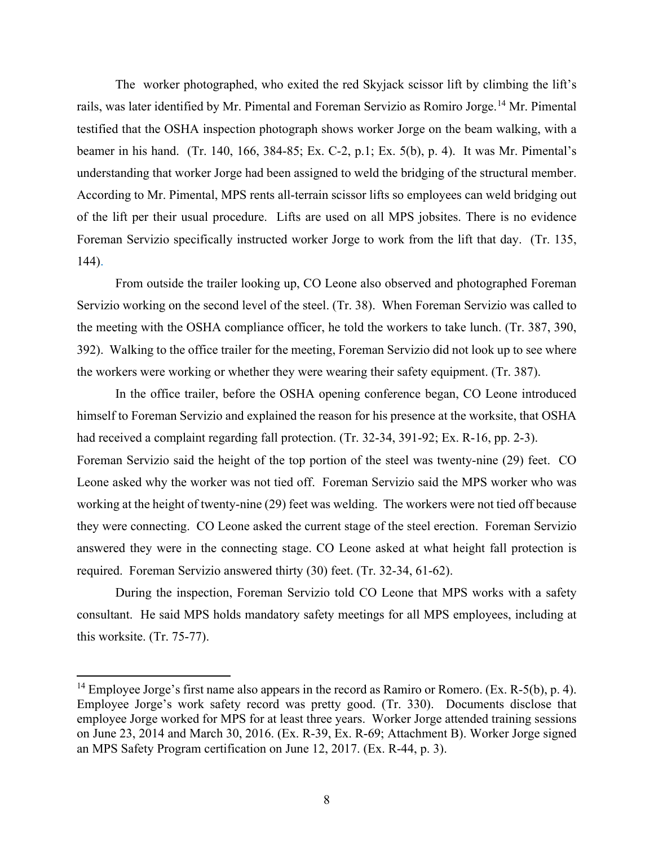The worker photographed, who exited the red Skyjack scissor lift by climbing the lift's rails, was later identified by Mr. Pimental and Foreman Servizio as Romiro Jorge.<sup>[14](#page-7-0)</sup> Mr. Pimental testified that the OSHA inspection photograph shows worker Jorge on the beam walking, with a beamer in his hand. (Tr. 140, 166, 384-85; Ex. C-2, p.1; Ex. 5(b), p. 4). It was Mr. Pimental's understanding that worker Jorge had been assigned to weld the bridging of the structural member. According to Mr. Pimental, MPS rents all-terrain scissor lifts so employees can weld bridging out of the lift per their usual procedure. Lifts are used on all MPS jobsites. There is no evidence Foreman Servizio specifically instructed worker Jorge to work from the lift that day. (Tr. 135, 144).

From outside the trailer looking up, CO Leone also observed and photographed Foreman Servizio working on the second level of the steel. (Tr. 38). When Foreman Servizio was called to the meeting with the OSHA compliance officer, he told the workers to take lunch. (Tr. 387, 390, 392). Walking to the office trailer for the meeting, Foreman Servizio did not look up to see where the workers were working or whether they were wearing their safety equipment. (Tr. 387).

In the office trailer, before the OSHA opening conference began, CO Leone introduced himself to Foreman Servizio and explained the reason for his presence at the worksite, that OSHA had received a complaint regarding fall protection. (Tr. 32-34, 391-92; Ex. R-16, pp. 2-3). Foreman Servizio said the height of the top portion of the steel was twenty-nine (29) feet. CO Leone asked why the worker was not tied off. Foreman Servizio said the MPS worker who was working at the height of twenty-nine (29) feet was welding. The workers were not tied off because they were connecting. CO Leone asked the current stage of the steel erection. Foreman Servizio answered they were in the connecting stage. CO Leone asked at what height fall protection is required. Foreman Servizio answered thirty (30) feet. (Tr. 32-34, 61-62).

During the inspection, Foreman Servizio told CO Leone that MPS works with a safety consultant. He said MPS holds mandatory safety meetings for all MPS employees, including at this worksite. (Tr. 75-77).

<span id="page-7-0"></span><sup>&</sup>lt;sup>14</sup> Employee Jorge's first name also appears in the record as Ramiro or Romero. (Ex. R-5(b), p. 4). Employee Jorge's work safety record was pretty good. (Tr. 330). Documents disclose that employee Jorge worked for MPS for at least three years. Worker Jorge attended training sessions on June 23, 2014 and March 30, 2016. (Ex. R-39, Ex. R-69; Attachment B). Worker Jorge signed an MPS Safety Program certification on June 12, 2017. (Ex. R-44, p. 3).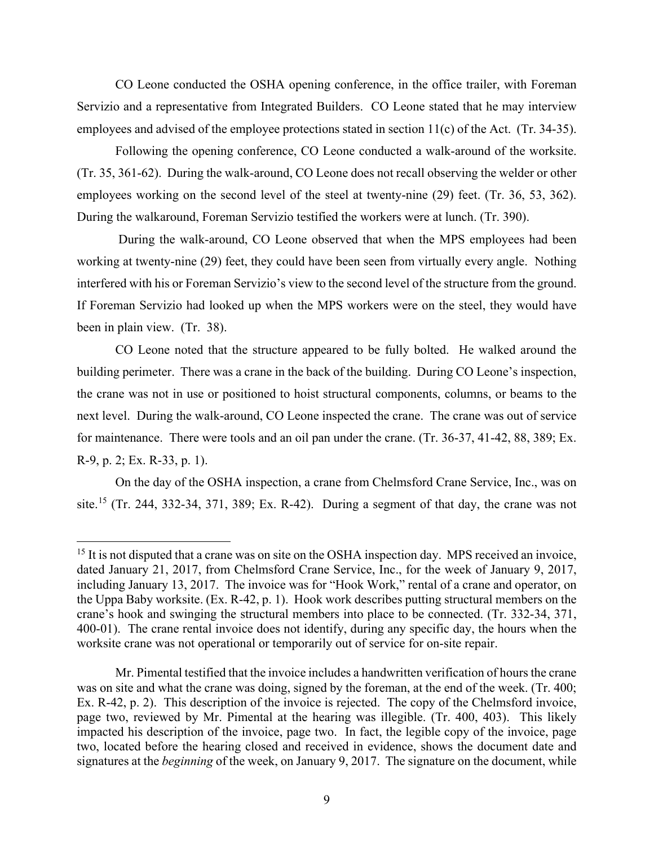CO Leone conducted the OSHA opening conference, in the office trailer, with Foreman Servizio and a representative from Integrated Builders. CO Leone stated that he may interview employees and advised of the employee protections stated in section 11(c) of the Act. (Tr. 34-35).

Following the opening conference, CO Leone conducted a walk-around of the worksite. (Tr. 35, 361-62). During the walk-around, CO Leone does not recall observing the welder or other employees working on the second level of the steel at twenty-nine (29) feet. (Tr. 36, 53, 362). During the walkaround, Foreman Servizio testified the workers were at lunch. (Tr. 390).

During the walk-around, CO Leone observed that when the MPS employees had been working at twenty-nine (29) feet, they could have been seen from virtually every angle. Nothing interfered with his or Foreman Servizio's view to the second level of the structure from the ground. If Foreman Servizio had looked up when the MPS workers were on the steel, they would have been in plain view. (Tr. 38).

CO Leone noted that the structure appeared to be fully bolted. He walked around the building perimeter. There was a crane in the back of the building. During CO Leone's inspection, the crane was not in use or positioned to hoist structural components, columns, or beams to the next level. During the walk-around, CO Leone inspected the crane. The crane was out of service for maintenance. There were tools and an oil pan under the crane. (Tr. 36-37, 41-42, 88, 389; Ex. R-9, p. 2; Ex. R-33, p. 1).

On the day of the OSHA inspection, a crane from Chelmsford Crane Service, Inc., was on site.<sup>[15](#page-8-0)</sup> (Tr. 244, 332-34, 371, 389; Ex. R-42). During a segment of that day, the crane was not

<span id="page-8-0"></span><sup>&</sup>lt;sup>15</sup> It is not disputed that a crane was on site on the OSHA inspection day. MPS received an invoice, dated January 21, 2017, from Chelmsford Crane Service, Inc., for the week of January 9, 2017, including January 13, 2017. The invoice was for "Hook Work," rental of a crane and operator, on the Uppa Baby worksite. (Ex. R-42, p. 1). Hook work describes putting structural members on the crane's hook and swinging the structural members into place to be connected. (Tr. 332-34, 371, 400-01). The crane rental invoice does not identify, during any specific day, the hours when the worksite crane was not operational or temporarily out of service for on-site repair.

Mr. Pimental testified that the invoice includes a handwritten verification of hours the crane was on site and what the crane was doing, signed by the foreman, at the end of the week. (Tr. 400; Ex. R-42, p. 2). This description of the invoice is rejected. The copy of the Chelmsford invoice, page two, reviewed by Mr. Pimental at the hearing was illegible. (Tr. 400, 403). This likely impacted his description of the invoice, page two. In fact, the legible copy of the invoice, page two, located before the hearing closed and received in evidence, shows the document date and signatures at the *beginning* of the week, on January 9, 2017. The signature on the document, while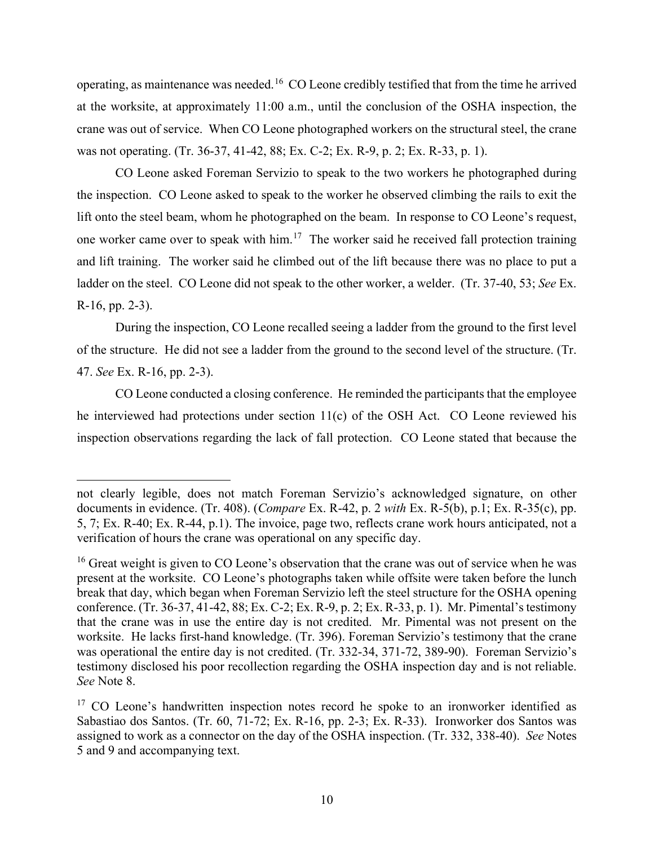operating, as maintenance was needed.[16](#page-9-0) CO Leone credibly testified that from the time he arrived at the worksite, at approximately 11:00 a.m., until the conclusion of the OSHA inspection, the crane was out of service. When CO Leone photographed workers on the structural steel, the crane was not operating. (Tr. 36-37, 41-42, 88; Ex. C-2; Ex. R-9, p. 2; Ex. R-33, p. 1).

CO Leone asked Foreman Servizio to speak to the two workers he photographed during the inspection. CO Leone asked to speak to the worker he observed climbing the rails to exit the lift onto the steel beam, whom he photographed on the beam. In response to CO Leone's request, one worker came over to speak with him.<sup>17</sup> The worker said he received fall protection training and lift training. The worker said he climbed out of the lift because there was no place to put a ladder on the steel. CO Leone did not speak to the other worker, a welder. (Tr. 37-40, 53; *See* Ex. R-16, pp. 2-3).

During the inspection, CO Leone recalled seeing a ladder from the ground to the first level of the structure. He did not see a ladder from the ground to the second level of the structure. (Tr. 47. *See* Ex. R-16, pp. 2-3).

CO Leone conducted a closing conference. He reminded the participants that the employee he interviewed had protections under section 11(c) of the OSH Act. CO Leone reviewed his inspection observations regarding the lack of fall protection. CO Leone stated that because the

not clearly legible, does not match Foreman Servizio's acknowledged signature, on other documents in evidence. (Tr. 408). (*Compare* Ex. R-42, p. 2 *with* Ex. R-5(b), p.1; Ex. R-35(c), pp. 5, 7; Ex. R-40; Ex. R-44, p.1). The invoice, page two, reflects crane work hours anticipated, not a verification of hours the crane was operational on any specific day.

<span id="page-9-0"></span> $16$  Great weight is given to CO Leone's observation that the crane was out of service when he was present at the worksite. CO Leone's photographs taken while offsite were taken before the lunch break that day, which began when Foreman Servizio left the steel structure for the OSHA opening conference. (Tr. 36-37, 41-42, 88; Ex. C-2; Ex. R-9, p. 2; Ex. R-33, p. 1). Mr. Pimental's testimony that the crane was in use the entire day is not credited. Mr. Pimental was not present on the worksite. He lacks first-hand knowledge. (Tr. 396). Foreman Servizio's testimony that the crane was operational the entire day is not credited. (Tr. 332-34, 371-72, 389-90). Foreman Servizio's testimony disclosed his poor recollection regarding the OSHA inspection day and is not reliable. *See* Note 8.

<span id="page-9-1"></span> $17$  CO Leone's handwritten inspection notes record he spoke to an ironworker identified as Sabastiao dos Santos. (Tr. 60, 71-72; Ex. R-16, pp. 2-3; Ex. R-33). Ironworker dos Santos was assigned to work as a connector on the day of the OSHA inspection. (Tr. 332, 338-40). *See* Notes 5 and 9 and accompanying text.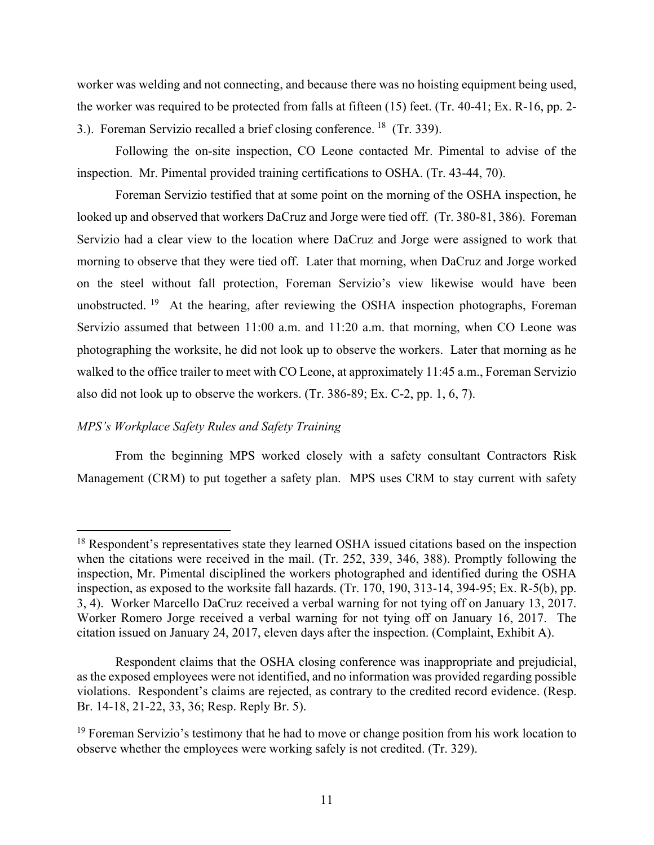worker was welding and not connecting, and because there was no hoisting equipment being used, the worker was required to be protected from falls at fifteen (15) feet. (Tr. 40-41; Ex. R-16, pp. 2- 3.). Foreman Servizio recalled a brief closing conference. [18](#page-10-0) (Tr. 339).

Following the on-site inspection, CO Leone contacted Mr. Pimental to advise of the inspection. Mr. Pimental provided training certifications to OSHA. (Tr. 43-44, 70).

Foreman Servizio testified that at some point on the morning of the OSHA inspection, he looked up and observed that workers DaCruz and Jorge were tied off. (Tr. 380-81, 386). Foreman Servizio had a clear view to the location where DaCruz and Jorge were assigned to work that morning to observe that they were tied off. Later that morning, when DaCruz and Jorge worked on the steel without fall protection, Foreman Servizio's view likewise would have been unobstructed. [19](#page-10-1) At the hearing, after reviewing the OSHA inspection photographs, Foreman Servizio assumed that between 11:00 a.m. and 11:20 a.m. that morning, when CO Leone was photographing the worksite, he did not look up to observe the workers. Later that morning as he walked to the office trailer to meet with CO Leone, at approximately 11:45 a.m., Foreman Servizio also did not look up to observe the workers. (Tr. 386-89; Ex. C-2, pp. 1, 6, 7).

# *MPS's Workplace Safety Rules and Safety Training*

From the beginning MPS worked closely with a safety consultant Contractors Risk Management (CRM) to put together a safety plan. MPS uses CRM to stay current with safety

<span id="page-10-0"></span><sup>&</sup>lt;sup>18</sup> Respondent's representatives state they learned OSHA issued citations based on the inspection when the citations were received in the mail. (Tr. 252, 339, 346, 388). Promptly following the inspection, Mr. Pimental disciplined the workers photographed and identified during the OSHA inspection, as exposed to the worksite fall hazards. (Tr. 170, 190, 313-14, 394-95; Ex. R-5(b), pp. 3, 4). Worker Marcello DaCruz received a verbal warning for not tying off on January 13, 2017. Worker Romero Jorge received a verbal warning for not tying off on January 16, 2017. The citation issued on January 24, 2017, eleven days after the inspection. (Complaint, Exhibit A).

Respondent claims that the OSHA closing conference was inappropriate and prejudicial, as the exposed employees were not identified, and no information was provided regarding possible violations. Respondent's claims are rejected, as contrary to the credited record evidence. (Resp. Br. 14-18, 21-22, 33, 36; Resp. Reply Br. 5).

<span id="page-10-1"></span><sup>&</sup>lt;sup>19</sup> Foreman Servizio's testimony that he had to move or change position from his work location to observe whether the employees were working safely is not credited. (Tr. 329).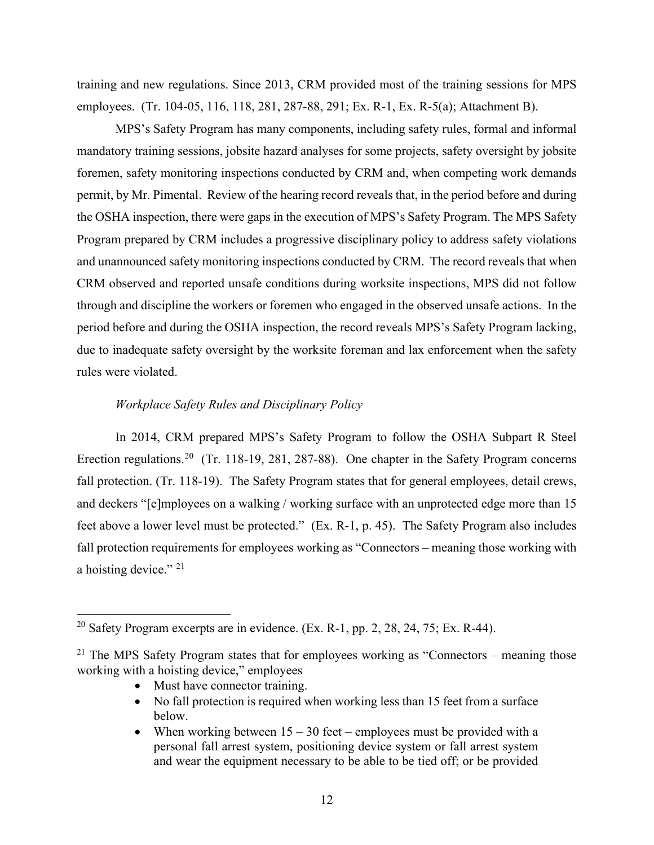training and new regulations. Since 2013, CRM provided most of the training sessions for MPS employees. (Tr. 104-05, 116, 118, 281, 287-88, 291; Ex. R-1, Ex. R-5(a); Attachment B).

MPS's Safety Program has many components, including safety rules, formal and informal mandatory training sessions, jobsite hazard analyses for some projects, safety oversight by jobsite foremen, safety monitoring inspections conducted by CRM and, when competing work demands permit, by Mr. Pimental. Review of the hearing record reveals that, in the period before and during the OSHA inspection, there were gaps in the execution of MPS's Safety Program. The MPS Safety Program prepared by CRM includes a progressive disciplinary policy to address safety violations and unannounced safety monitoring inspections conducted by CRM. The record reveals that when CRM observed and reported unsafe conditions during worksite inspections, MPS did not follow through and discipline the workers or foremen who engaged in the observed unsafe actions. In the period before and during the OSHA inspection, the record reveals MPS's Safety Program lacking, due to inadequate safety oversight by the worksite foreman and lax enforcement when the safety rules were violated.

# *Workplace Safety Rules and Disciplinary Policy*

In 2014, CRM prepared MPS's Safety Program to follow the OSHA Subpart R Steel Erection regulations.<sup>[20](#page-11-0)</sup> (Tr. 118-19, 281, 287-88). One chapter in the Safety Program concerns fall protection. (Tr. 118-19). The Safety Program states that for general employees, detail crews, and deckers "[e]mployees on a walking / working surface with an unprotected edge more than 15 feet above a lower level must be protected." (Ex. R-1, p. 45). The Safety Program also includes fall protection requirements for employees working as "Connectors – meaning those working with a hoisting device." <sup>[21](#page-11-1)</sup>

- Must have connector training.
- No fall protection is required when working less than 15 feet from a surface below.
- When working between  $15 30$  feet employees must be provided with a personal fall arrest system, positioning device system or fall arrest system and wear the equipment necessary to be able to be tied off; or be provided

<span id="page-11-0"></span><sup>&</sup>lt;sup>20</sup> Safety Program excerpts are in evidence. (Ex. R-1, pp. 2, 28, 24, 75; Ex. R-44).

<span id="page-11-1"></span><sup>&</sup>lt;sup>21</sup> The MPS Safety Program states that for employees working as "Connectors – meaning those working with a hoisting device," employees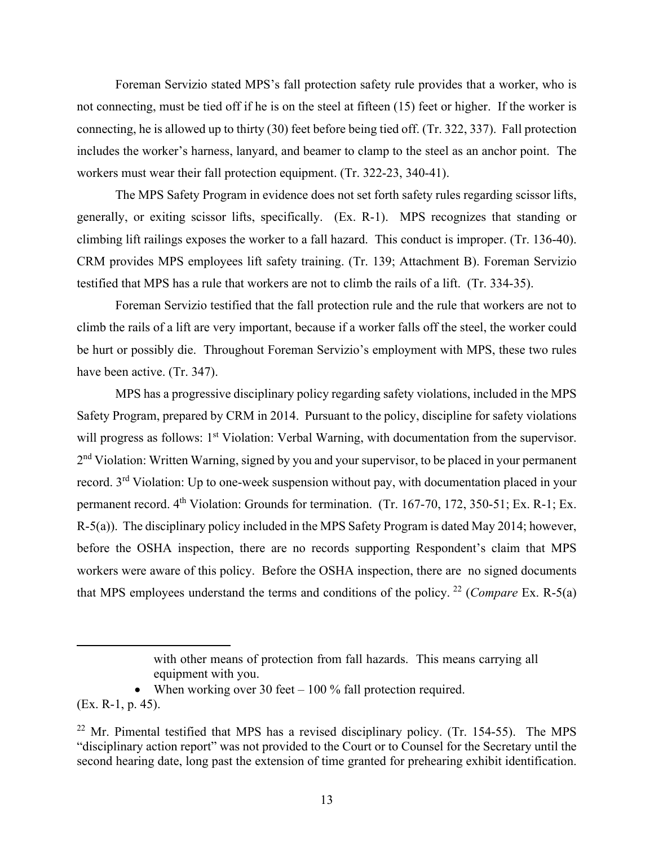Foreman Servizio stated MPS's fall protection safety rule provides that a worker, who is not connecting, must be tied off if he is on the steel at fifteen (15) feet or higher. If the worker is connecting, he is allowed up to thirty (30) feet before being tied off. (Tr. 322, 337). Fall protection includes the worker's harness, lanyard, and beamer to clamp to the steel as an anchor point. The workers must wear their fall protection equipment. (Tr. 322-23, 340-41).

The MPS Safety Program in evidence does not set forth safety rules regarding scissor lifts, generally, or exiting scissor lifts, specifically. (Ex. R-1). MPS recognizes that standing or climbing lift railings exposes the worker to a fall hazard. This conduct is improper. (Tr. 136-40). CRM provides MPS employees lift safety training. (Tr. 139; Attachment B). Foreman Servizio testified that MPS has a rule that workers are not to climb the rails of a lift. (Tr. 334-35).

Foreman Servizio testified that the fall protection rule and the rule that workers are not to climb the rails of a lift are very important, because if a worker falls off the steel, the worker could be hurt or possibly die. Throughout Foreman Servizio's employment with MPS, these two rules have been active. (Tr. 347).

MPS has a progressive disciplinary policy regarding safety violations, included in the MPS Safety Program, prepared by CRM in 2014. Pursuant to the policy, discipline for safety violations will progress as follows: 1<sup>st</sup> Violation: Verbal Warning, with documentation from the supervisor. 2<sup>nd</sup> Violation: Written Warning, signed by you and your supervisor, to be placed in your permanent record. 3rd Violation: Up to one-week suspension without pay, with documentation placed in your permanent record. 4<sup>th</sup> Violation: Grounds for termination. (Tr. 167-70, 172, 350-51; Ex. R-1; Ex. R-5(a)). The disciplinary policy included in the MPS Safety Program is dated May 2014; however, before the OSHA inspection, there are no records supporting Respondent's claim that MPS workers were aware of this policy. Before the OSHA inspection, there are no signed documents that MPS employees understand the terms and conditions of the policy. [22](#page-12-0) (*Compare* Ex. R-5(a)

• When working over 30 feet  $-100\%$  fall protection required.

(Ex. R-1, p. 45).

with other means of protection from fall hazards. This means carrying all equipment with you.

<span id="page-12-0"></span> $22$  Mr. Pimental testified that MPS has a revised disciplinary policy. (Tr. 154-55). The MPS "disciplinary action report" was not provided to the Court or to Counsel for the Secretary until the second hearing date, long past the extension of time granted for prehearing exhibit identification.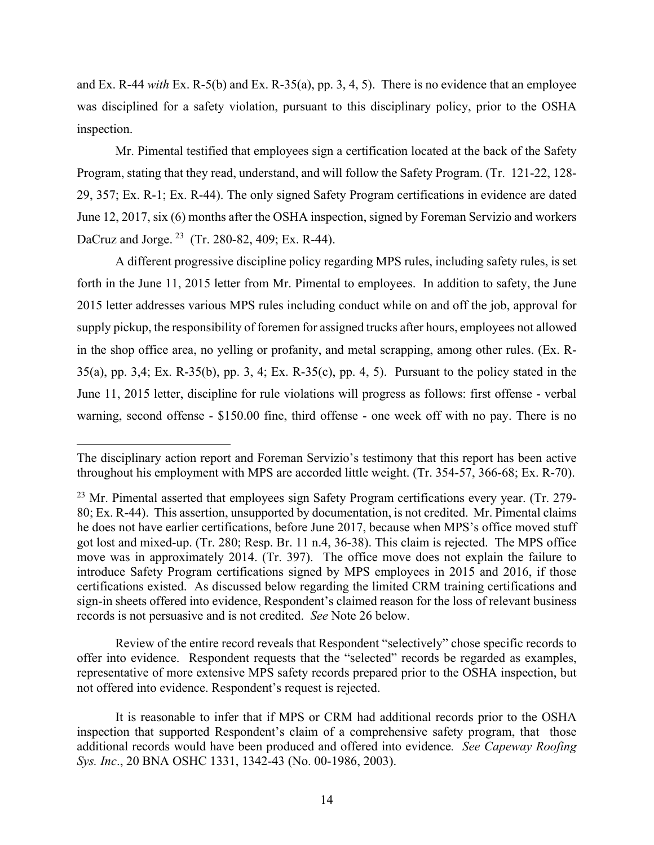and Ex. R-44 *with* Ex. R-5(b) and Ex. R-35(a), pp. 3, 4, 5). There is no evidence that an employee was disciplined for a safety violation, pursuant to this disciplinary policy, prior to the OSHA inspection.

Mr. Pimental testified that employees sign a certification located at the back of the Safety Program, stating that they read, understand, and will follow the Safety Program. (Tr. 121-22, 128- 29, 357; Ex. R-1; Ex. R-44). The only signed Safety Program certifications in evidence are dated June 12, 2017, six (6) months after the OSHA inspection, signed by Foreman Servizio and workers DaCruz and Jorge. [23](#page-13-0) (Tr. 280-82, 409; Ex. R-44).

A different progressive discipline policy regarding MPS rules, including safety rules, is set forth in the June 11, 2015 letter from Mr. Pimental to employees. In addition to safety, the June 2015 letter addresses various MPS rules including conduct while on and off the job, approval for supply pickup, the responsibility of foremen for assigned trucks after hours, employees not allowed in the shop office area, no yelling or profanity, and metal scrapping, among other rules. (Ex. R-35(a), pp. 3,4; Ex. R-35(b), pp. 3, 4; Ex. R-35(c), pp. 4, 5). Pursuant to the policy stated in the June 11, 2015 letter, discipline for rule violations will progress as follows: first offense - verbal warning, second offense - \$150.00 fine, third offense - one week off with no pay. There is no

Review of the entire record reveals that Respondent "selectively" chose specific records to offer into evidence. Respondent requests that the "selected" records be regarded as examples, representative of more extensive MPS safety records prepared prior to the OSHA inspection, but not offered into evidence. Respondent's request is rejected.

The disciplinary action report and Foreman Servizio's testimony that this report has been active throughout his employment with MPS are accorded little weight. (Tr. 354-57, 366-68; Ex. R-70).

<span id="page-13-0"></span> $23$  Mr. Pimental asserted that employees sign Safety Program certifications every year. (Tr. 279-80; Ex. R-44). This assertion, unsupported by documentation, is not credited. Mr. Pimental claims he does not have earlier certifications, before June 2017, because when MPS's office moved stuff got lost and mixed-up. (Tr. 280; Resp. Br. 11 n.4, 36-38). This claim is rejected. The MPS office move was in approximately 2014. (Tr. 397). The office move does not explain the failure to introduce Safety Program certifications signed by MPS employees in 2015 and 2016, if those certifications existed. As discussed below regarding the limited CRM training certifications and sign-in sheets offered into evidence, Respondent's claimed reason for the loss of relevant business records is not persuasive and is not credited. *See* Note 26 below.

It is reasonable to infer that if MPS or CRM had additional records prior to the OSHA inspection that supported Respondent's claim of a comprehensive safety program, that those additional records would have been produced and offered into evidence*. See Capeway Roofing Sys. Inc*., 20 BNA OSHC 1331, 1342-43 (No. 00-1986, 2003).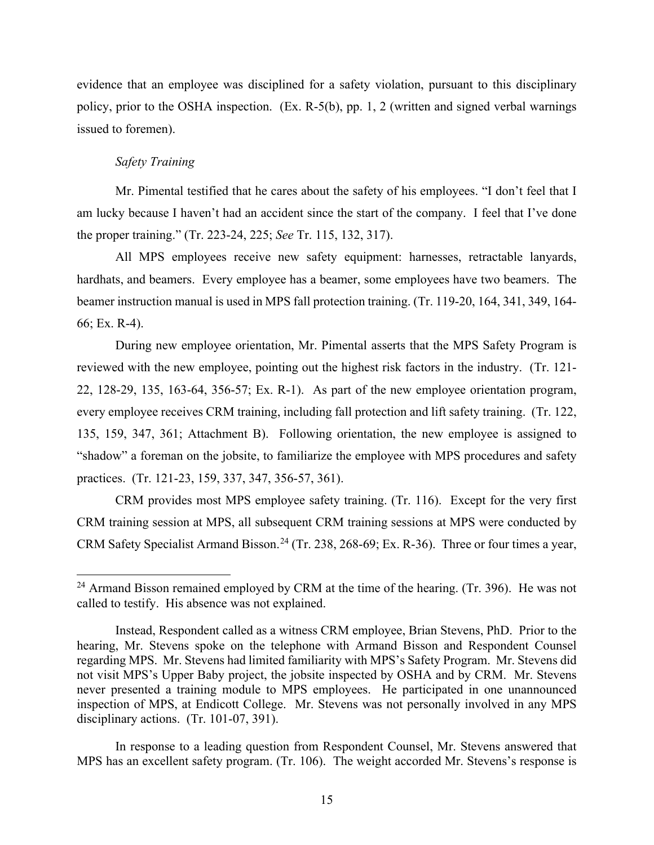evidence that an employee was disciplined for a safety violation, pursuant to this disciplinary policy, prior to the OSHA inspection. (Ex. R-5(b), pp. 1, 2 (written and signed verbal warnings issued to foremen).

# *Safety Training*

Mr. Pimental testified that he cares about the safety of his employees. "I don't feel that I am lucky because I haven't had an accident since the start of the company. I feel that I've done the proper training." (Tr. 223-24, 225; *See* Tr. 115, 132, 317).

All MPS employees receive new safety equipment: harnesses, retractable lanyards, hardhats, and beamers. Every employee has a beamer, some employees have two beamers. The beamer instruction manual is used in MPS fall protection training. (Tr. 119-20, 164, 341, 349, 164- 66; Ex. R-4).

During new employee orientation, Mr. Pimental asserts that the MPS Safety Program is reviewed with the new employee, pointing out the highest risk factors in the industry. (Tr. 121- 22, 128-29, 135, 163-64, 356-57; Ex. R-1). As part of the new employee orientation program, every employee receives CRM training, including fall protection and lift safety training. (Tr. 122, 135, 159, 347, 361; Attachment B). Following orientation, the new employee is assigned to "shadow" a foreman on the jobsite, to familiarize the employee with MPS procedures and safety practices. (Tr. 121-23, 159, 337, 347, 356-57, 361).

CRM provides most MPS employee safety training. (Tr. 116). Except for the very first CRM training session at MPS, all subsequent CRM training sessions at MPS were conducted by CRM Safety Specialist Armand Bisson.<sup>[24](#page-14-0)</sup> (Tr. 238, 268-69; Ex. R-36). Three or four times a year,

<span id="page-14-0"></span><sup>&</sup>lt;sup>24</sup> Armand Bisson remained employed by CRM at the time of the hearing. (Tr. 396). He was not called to testify. His absence was not explained.

Instead, Respondent called as a witness CRM employee, Brian Stevens, PhD. Prior to the hearing, Mr. Stevens spoke on the telephone with Armand Bisson and Respondent Counsel regarding MPS. Mr. Stevens had limited familiarity with MPS's Safety Program. Mr. Stevens did not visit MPS's Upper Baby project, the jobsite inspected by OSHA and by CRM. Mr. Stevens never presented a training module to MPS employees. He participated in one unannounced inspection of MPS, at Endicott College. Mr. Stevens was not personally involved in any MPS disciplinary actions. (Tr. 101-07, 391).

In response to a leading question from Respondent Counsel, Mr. Stevens answered that MPS has an excellent safety program. (Tr. 106). The weight accorded Mr. Stevens's response is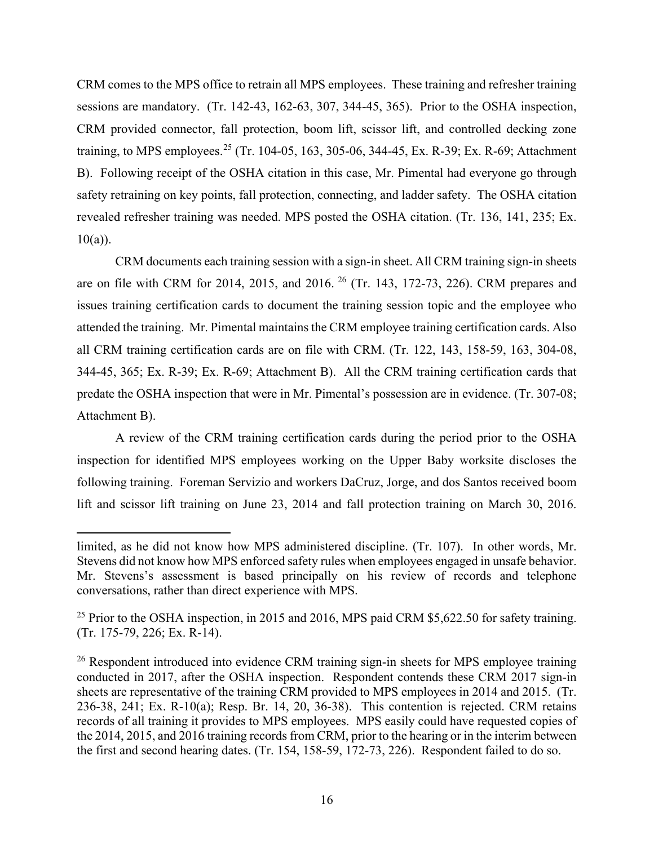CRM comes to the MPS office to retrain all MPS employees. These training and refresher training sessions are mandatory. (Tr. 142-43, 162-63, 307, 344-45, 365). Prior to the OSHA inspection, CRM provided connector, fall protection, boom lift, scissor lift, and controlled decking zone training, to MPS employees.<sup>[25](#page-15-0)</sup> (Tr. 104-05, 163, 305-06, 344-45, Ex. R-39; Ex. R-69; Attachment B). Following receipt of the OSHA citation in this case, Mr. Pimental had everyone go through safety retraining on key points, fall protection, connecting, and ladder safety. The OSHA citation revealed refresher training was needed. MPS posted the OSHA citation. (Tr. 136, 141, 235; Ex.  $10(a)$ ).

CRM documents each training session with a sign-in sheet. All CRM training sign-in sheets are on file with CRM for 2014, 2015, and 2016. [26](#page-15-1) (Tr. 143, 172-73, 226). CRM prepares and issues training certification cards to document the training session topic and the employee who attended the training. Mr. Pimental maintains the CRM employee training certification cards. Also all CRM training certification cards are on file with CRM. (Tr. 122, 143, 158-59, 163, 304-08, 344-45, 365; Ex. R-39; Ex. R-69; Attachment B). All the CRM training certification cards that predate the OSHA inspection that were in Mr. Pimental's possession are in evidence. (Tr. 307-08; Attachment B).

A review of the CRM training certification cards during the period prior to the OSHA inspection for identified MPS employees working on the Upper Baby worksite discloses the following training. Foreman Servizio and workers DaCruz, Jorge, and dos Santos received boom lift and scissor lift training on June 23, 2014 and fall protection training on March 30, 2016.

limited, as he did not know how MPS administered discipline. (Tr. 107). In other words, Mr. Stevens did not know how MPS enforced safety rules when employees engaged in unsafe behavior. Mr. Stevens's assessment is based principally on his review of records and telephone conversations, rather than direct experience with MPS.

<span id="page-15-0"></span><sup>&</sup>lt;sup>25</sup> Prior to the OSHA inspection, in 2015 and 2016, MPS paid CRM \$5,622.50 for safety training. (Tr. 175-79, 226; Ex. R-14).

<span id="page-15-1"></span><sup>&</sup>lt;sup>26</sup> Respondent introduced into evidence CRM training sign-in sheets for MPS employee training conducted in 2017, after the OSHA inspection. Respondent contends these CRM 2017 sign-in sheets are representative of the training CRM provided to MPS employees in 2014 and 2015. (Tr. 236-38, 241; Ex. R-10(a); Resp. Br. 14, 20, 36-38). This contention is rejected. CRM retains records of all training it provides to MPS employees. MPS easily could have requested copies of the 2014, 2015, and 2016 training records from CRM, prior to the hearing or in the interim between the first and second hearing dates. (Tr. 154, 158-59, 172-73, 226). Respondent failed to do so.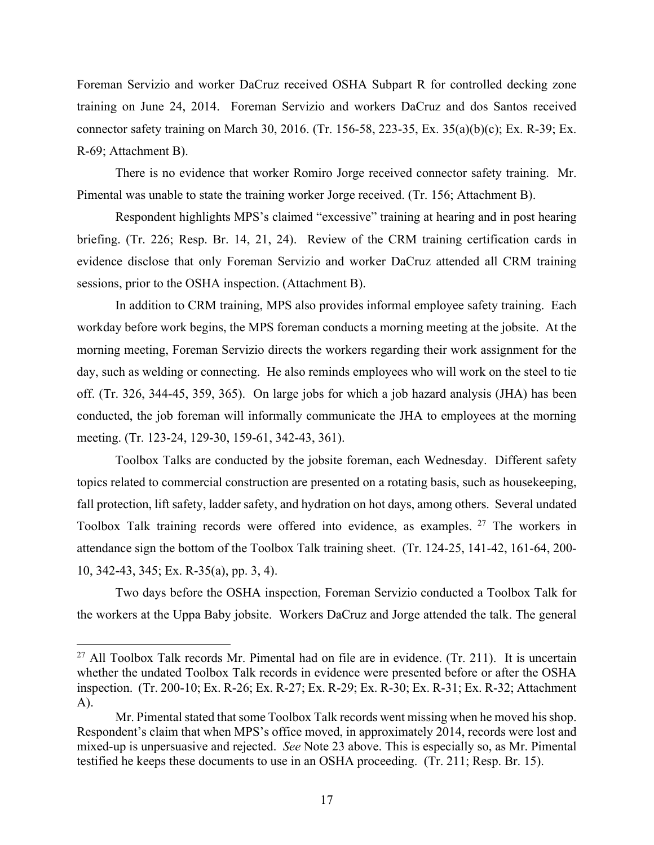Foreman Servizio and worker DaCruz received OSHA Subpart R for controlled decking zone training on June 24, 2014. Foreman Servizio and workers DaCruz and dos Santos received connector safety training on March 30, 2016. (Tr. 156-58, 223-35, Ex. 35(a)(b)(c); Ex. R-39; Ex. R-69; Attachment B).

There is no evidence that worker Romiro Jorge received connector safety training. Mr. Pimental was unable to state the training worker Jorge received. (Tr. 156; Attachment B).

Respondent highlights MPS's claimed "excessive" training at hearing and in post hearing briefing. (Tr. 226; Resp. Br. 14, 21, 24). Review of the CRM training certification cards in evidence disclose that only Foreman Servizio and worker DaCruz attended all CRM training sessions, prior to the OSHA inspection. (Attachment B).

In addition to CRM training, MPS also provides informal employee safety training. Each workday before work begins, the MPS foreman conducts a morning meeting at the jobsite. At the morning meeting, Foreman Servizio directs the workers regarding their work assignment for the day, such as welding or connecting. He also reminds employees who will work on the steel to tie off. (Tr. 326, 344-45, 359, 365). On large jobs for which a job hazard analysis (JHA) has been conducted, the job foreman will informally communicate the JHA to employees at the morning meeting. (Tr. 123-24, 129-30, 159-61, 342-43, 361).

 Toolbox Talks are conducted by the jobsite foreman, each Wednesday. Different safety topics related to commercial construction are presented on a rotating basis, such as housekeeping, fall protection, lift safety, ladder safety, and hydration on hot days, among others. Several undated Toolbox Talk training records were offered into evidence, as examples. <sup>[27](#page-16-0)</sup> The workers in attendance sign the bottom of the Toolbox Talk training sheet. (Tr. 124-25, 141-42, 161-64, 200- 10, 342-43, 345; Ex. R-35(a), pp. 3, 4).

Two days before the OSHA inspection, Foreman Servizio conducted a Toolbox Talk for the workers at the Uppa Baby jobsite. Workers DaCruz and Jorge attended the talk. The general

<span id="page-16-0"></span> $^{27}$  All Toolbox Talk records Mr. Pimental had on file are in evidence. (Tr. 211). It is uncertain whether the undated Toolbox Talk records in evidence were presented before or after the OSHA inspection. (Tr. 200-10; Ex. R-26; Ex. R-27; Ex. R-29; Ex. R-30; Ex. R-31; Ex. R-32; Attachment A).

Mr. Pimental stated that some Toolbox Talk records went missing when he moved his shop. Respondent's claim that when MPS's office moved, in approximately 2014, records were lost and mixed-up is unpersuasive and rejected. *See* Note 23 above. This is especially so, as Mr. Pimental testified he keeps these documents to use in an OSHA proceeding. (Tr. 211; Resp. Br. 15).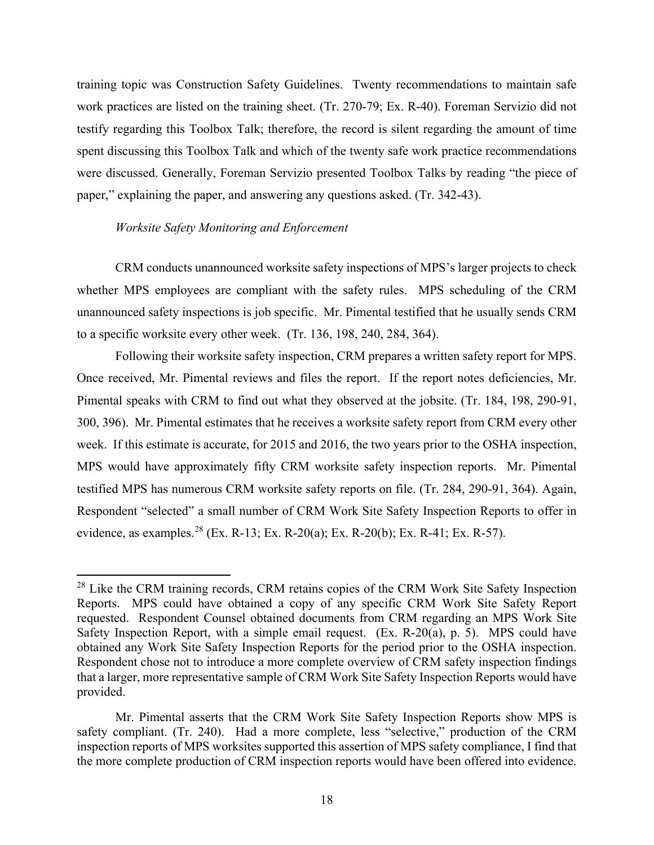training topic was Construction Safety Guidelines. Twenty recommendations to maintain safe work practices are listed on the training sheet. (Tr. 270-79; Ex. R-40). Foreman Servizio did not testify regarding this Toolbox Talk; therefore, the record is silent regarding the amount of time spent discussing this Toolbox Talk and which of the twenty safe work practice recommendations were discussed. Generally, Foreman Servizio presented Toolbox Talks by reading "the piece of paper," explaining the paper, and answering any questions asked. (Tr. 342-43).

#### *Worksite Safety Monitoring and Enforcement*

CRM conducts unannounced worksite safety inspections of MPS's larger projects to check whether MPS employees are compliant with the safety rules. MPS scheduling of the CRM unannounced safety inspections is job specific. Mr. Pimental testified that he usually sends CRM to a specific worksite every other week. (Tr. 136, 198, 240, 284, 364).

Following their worksite safety inspection, CRM prepares a written safety report for MPS. Once received, Mr. Pimental reviews and files the report. If the report notes deficiencies, Mr. Pimental speaks with CRM to find out what they observed at the jobsite. (Tr. 184, 198, 290-91, 300, 396). Mr. Pimental estimates that he receives a worksite safety report from CRM every other week. If this estimate is accurate, for 2015 and 2016, the two years prior to the OSHA inspection, MPS would have approximately fifty CRM worksite safety inspection reports. Mr. Pimental testified MPS has numerous CRM worksite safety reports on file. (Tr. 284, 290-91, 364). Again, Respondent "selected" a small number of CRM Work Site Safety Inspection Reports to offer in evidence, as examples.<sup>28</sup> (Ex. R-13; Ex. R-20(a); Ex. R-20(b); Ex. R-41; Ex. R-57).

<span id="page-17-0"></span><sup>&</sup>lt;sup>28</sup> Like the CRM training records, CRM retains copies of the CRM Work Site Safety Inspection Reports. MPS could have obtained a copy of any specific CRM Work Site Safety Report requested. Respondent Counsel obtained documents from CRM regarding an MPS Work Site Safety Inspection Report, with a simple email request. (Ex. R-20(a), p. 5). MPS could have obtained any Work Site Safety Inspection Reports for the period prior to the OSHA inspection. Respondent chose not to introduce a more complete overview of CRM safety inspection findings that a larger, more representative sample of CRM Work Site Safety Inspection Reports would have provided.

Mr. Pimental asserts that the CRM Work Site Safety Inspection Reports show MPS is safety compliant. (Tr. 240). Had a more complete, less "selective," production of the CRM inspection reports of MPS worksites supported this assertion of MPS safety compliance, I find that the more complete production of CRM inspection reports would have been offered into evidence.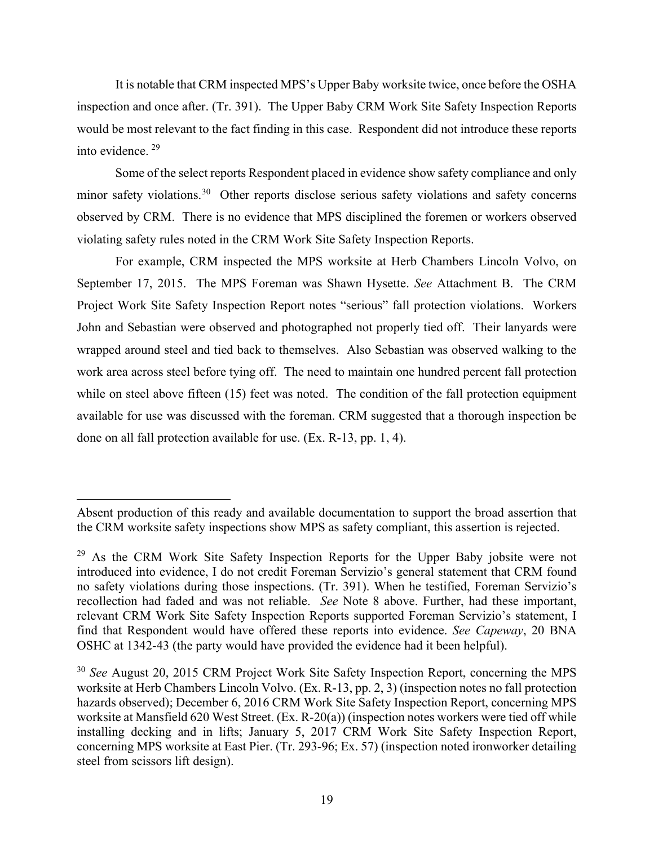It is notable that CRM inspected MPS's Upper Baby worksite twice, once before the OSHA inspection and once after. (Tr. 391). The Upper Baby CRM Work Site Safety Inspection Reports would be most relevant to the fact finding in this case. Respondent did not introduce these reports into evidence. [29](#page-18-0) 

Some of the select reports Respondent placed in evidence show safety compliance and only minor safety violations.<sup>[30](#page-18-1)</sup> Other reports disclose serious safety violations and safety concerns observed by CRM. There is no evidence that MPS disciplined the foremen or workers observed violating safety rules noted in the CRM Work Site Safety Inspection Reports.

For example, CRM inspected the MPS worksite at Herb Chambers Lincoln Volvo, on September 17, 2015. The MPS Foreman was Shawn Hysette. *See* Attachment B. The CRM Project Work Site Safety Inspection Report notes "serious" fall protection violations. Workers John and Sebastian were observed and photographed not properly tied off. Their lanyards were wrapped around steel and tied back to themselves. Also Sebastian was observed walking to the work area across steel before tying off. The need to maintain one hundred percent fall protection while on steel above fifteen (15) feet was noted. The condition of the fall protection equipment available for use was discussed with the foreman. CRM suggested that a thorough inspection be done on all fall protection available for use. (Ex. R-13, pp. 1, 4).

Absent production of this ready and available documentation to support the broad assertion that the CRM worksite safety inspections show MPS as safety compliant, this assertion is rejected.

<span id="page-18-0"></span><sup>&</sup>lt;sup>29</sup> As the CRM Work Site Safety Inspection Reports for the Upper Baby jobsite were not introduced into evidence, I do not credit Foreman Servizio's general statement that CRM found no safety violations during those inspections. (Tr. 391). When he testified, Foreman Servizio's recollection had faded and was not reliable. *See* Note 8 above. Further, had these important, relevant CRM Work Site Safety Inspection Reports supported Foreman Servizio's statement, I find that Respondent would have offered these reports into evidence. *See Capeway*, 20 BNA OSHC at 1342-43 (the party would have provided the evidence had it been helpful).

<span id="page-18-1"></span><sup>30</sup> *See* August 20, 2015 CRM Project Work Site Safety Inspection Report, concerning the MPS worksite at Herb Chambers Lincoln Volvo. (Ex. R-13, pp. 2, 3) (inspection notes no fall protection hazards observed); December 6, 2016 CRM Work Site Safety Inspection Report, concerning MPS worksite at Mansfield 620 West Street. (Ex. R-20(a)) (inspection notes workers were tied off while installing decking and in lifts; January 5, 2017 CRM Work Site Safety Inspection Report, concerning MPS worksite at East Pier. (Tr. 293-96; Ex. 57) (inspection noted ironworker detailing steel from scissors lift design).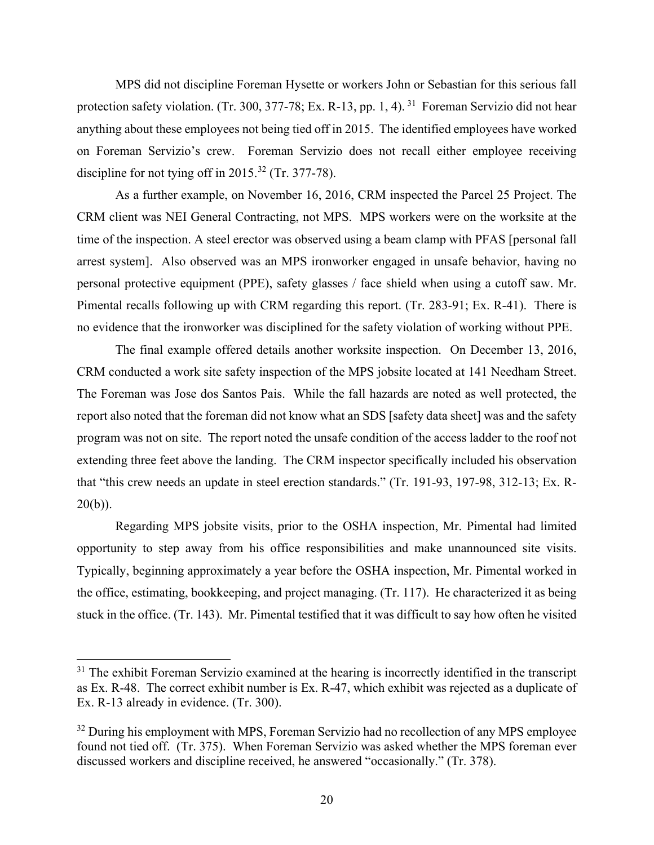MPS did not discipline Foreman Hysette or workers John or Sebastian for this serious fall protection safety violation. (Tr. 300, 377-78; Ex. R-13, pp. 1, 4). <sup>31</sup> Foreman Servizio did not hear anything about these employees not being tied off in 2015. The identified employees have worked on Foreman Servizio's crew. Foreman Servizio does not recall either employee receiving discipline for not tying off in  $2015^{32}$  $2015^{32}$  $2015^{32}$  (Tr. 377-78).

As a further example, on November 16, 2016, CRM inspected the Parcel 25 Project. The CRM client was NEI General Contracting, not MPS. MPS workers were on the worksite at the time of the inspection. A steel erector was observed using a beam clamp with PFAS [personal fall arrest system]. Also observed was an MPS ironworker engaged in unsafe behavior, having no personal protective equipment (PPE), safety glasses / face shield when using a cutoff saw. Mr. Pimental recalls following up with CRM regarding this report. (Tr. 283-91; Ex. R-41). There is no evidence that the ironworker was disciplined for the safety violation of working without PPE.

The final example offered details another worksite inspection. On December 13, 2016, CRM conducted a work site safety inspection of the MPS jobsite located at 141 Needham Street. The Foreman was Jose dos Santos Pais. While the fall hazards are noted as well protected, the report also noted that the foreman did not know what an SDS [safety data sheet] was and the safety program was not on site. The report noted the unsafe condition of the access ladder to the roof not extending three feet above the landing. The CRM inspector specifically included his observation that "this crew needs an update in steel erection standards." (Tr. 191-93, 197-98, 312-13; Ex. R- $20(b)$ ).

Regarding MPS jobsite visits, prior to the OSHA inspection, Mr. Pimental had limited opportunity to step away from his office responsibilities and make unannounced site visits. Typically, beginning approximately a year before the OSHA inspection, Mr. Pimental worked in the office, estimating, bookkeeping, and project managing. (Tr. 117). He characterized it as being stuck in the office. (Tr. 143). Mr. Pimental testified that it was difficult to say how often he visited

<span id="page-19-0"></span> $31$  The exhibit Foreman Servizio examined at the hearing is incorrectly identified in the transcript as Ex. R-48. The correct exhibit number is Ex. R-47, which exhibit was rejected as a duplicate of Ex. R-13 already in evidence. (Tr. 300).

<span id="page-19-1"></span><sup>&</sup>lt;sup>32</sup> During his employment with MPS, Foreman Servizio had no recollection of any MPS employee found not tied off. (Tr. 375). When Foreman Servizio was asked whether the MPS foreman ever discussed workers and discipline received, he answered "occasionally." (Tr. 378).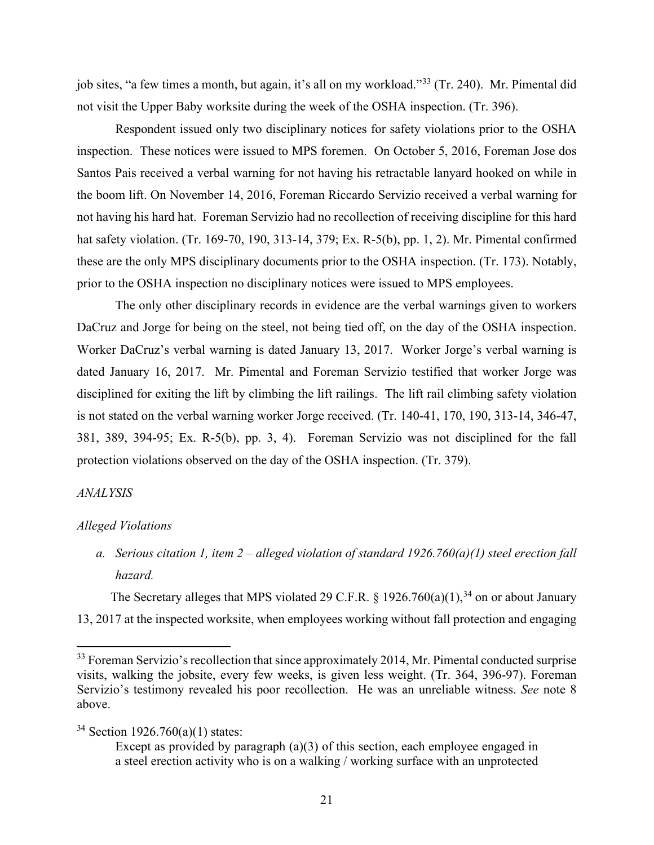job sites, "a few times a month, but again, it's all on my workload."[33](#page-20-0) (Tr. 240). Mr. Pimental did not visit the Upper Baby worksite during the week of the OSHA inspection. (Tr. 396).

Respondent issued only two disciplinary notices for safety violations prior to the OSHA inspection. These notices were issued to MPS foremen. On October 5, 2016, Foreman Jose dos Santos Pais received a verbal warning for not having his retractable lanyard hooked on while in the boom lift. On November 14, 2016, Foreman Riccardo Servizio received a verbal warning for not having his hard hat. Foreman Servizio had no recollection of receiving discipline for this hard hat safety violation. (Tr. 169-70, 190, 313-14, 379; Ex. R-5(b), pp. 1, 2). Mr. Pimental confirmed these are the only MPS disciplinary documents prior to the OSHA inspection. (Tr. 173). Notably, prior to the OSHA inspection no disciplinary notices were issued to MPS employees.

The only other disciplinary records in evidence are the verbal warnings given to workers DaCruz and Jorge for being on the steel, not being tied off, on the day of the OSHA inspection. Worker DaCruz's verbal warning is dated January 13, 2017. Worker Jorge's verbal warning is dated January 16, 2017. Mr. Pimental and Foreman Servizio testified that worker Jorge was disciplined for exiting the lift by climbing the lift railings. The lift rail climbing safety violation is not stated on the verbal warning worker Jorge received. (Tr. 140-41, 170, 190, 313-14, 346-47, 381, 389, 394-95; Ex. R-5(b), pp. 3, 4). Foreman Servizio was not disciplined for the fall protection violations observed on the day of the OSHA inspection. (Tr. 379).

# *ANALYSIS*

#### *Alleged Violations*

*a. Serious citation 1, item 2 – alleged violation of standard 1926.760(a)(1) steel erection fall hazard.* 

The Secretary alleges that MPS violated 29 C.F.R. § 1926.760(a)(1),<sup>[34](#page-20-1)</sup> on or about January 13, 2017 at the inspected worksite, when employees working without fall protection and engaging

<span id="page-20-0"></span><sup>&</sup>lt;sup>33</sup> Foreman Servizio's recollection that since approximately 2014, Mr. Pimental conducted surprise visits, walking the jobsite, every few weeks, is given less weight. (Tr. 364, 396-97). Foreman Servizio's testimony revealed his poor recollection. He was an unreliable witness. *See* note 8 above.

<span id="page-20-1"></span><sup>34</sup> Section 1926.760(a)(1) states:

Except as provided by paragraph (a)(3) of this section, each employee engaged in a steel erection activity who is on a walking / working surface with an unprotected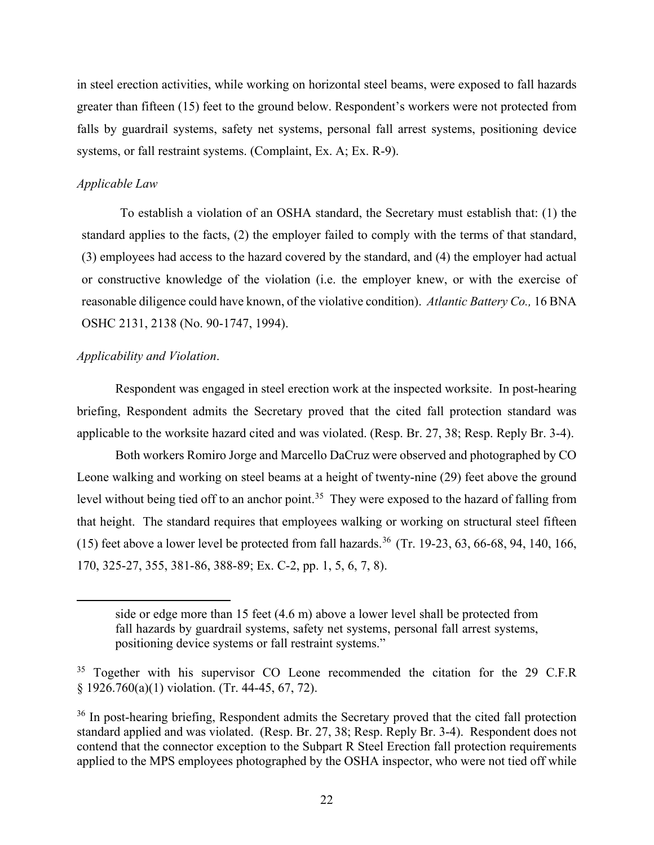in steel erection activities, while working on horizontal steel beams, were exposed to fall hazards greater than fifteen (15) feet to the ground below. Respondent's workers were not protected from falls by guardrail systems, safety net systems, personal fall arrest systems, positioning device systems, or fall restraint systems. (Complaint, Ex. A; Ex. R-9).

# *Applicable Law*

To establish a violation of an OSHA standard, the Secretary must establish that: (1) the standard applies to the facts, (2) the employer failed to comply with the terms of that standard, (3) employees had access to the hazard covered by the standard, and (4) the employer had actual or constructive knowledge of the violation (i.e. the employer knew, or with the exercise of reasonable diligence could have known, of the violative condition). *Atlantic Battery Co.,* 16 BNA OSHC 2131, 2138 (No. 90-1747, 1994).

## *Applicability and Violation*.

 Respondent was engaged in steel erection work at the inspected worksite. In post-hearing briefing, Respondent admits the Secretary proved that the cited fall protection standard was applicable to the worksite hazard cited and was violated. (Resp. Br. 27, 38; Resp. Reply Br. 3-4).

Both workers Romiro Jorge and Marcello DaCruz were observed and photographed by CO Leone walking and working on steel beams at a height of twenty-nine (29) feet above the ground level without being tied off to an anchor point.<sup>[35](#page-21-0)</sup> They were exposed to the hazard of falling from that height. The standard requires that employees walking or working on structural steel fifteen (15) feet above a lower level be protected from fall hazards.<sup>[36](#page-21-1)</sup> (Tr. 19-23, 63, 66-68, 94, 140, 166, 170, 325-27, 355, 381-86, 388-89; Ex. C-2, pp. 1, 5, 6, 7, 8).

side or edge more than 15 feet (4.6 m) above a lower level shall be protected from fall hazards by guardrail systems, safety net systems, personal fall arrest systems, positioning device systems or fall restraint systems."

<span id="page-21-0"></span><sup>&</sup>lt;sup>35</sup> Together with his supervisor CO Leone recommended the citation for the 29 C.F.R § 1926.760(a)(1) violation. (Tr. 44-45, 67, 72).

<span id="page-21-1"></span><sup>&</sup>lt;sup>36</sup> In post-hearing briefing, Respondent admits the Secretary proved that the cited fall protection standard applied and was violated. (Resp. Br. 27, 38; Resp. Reply Br. 3-4). Respondent does not contend that the connector exception to the Subpart R Steel Erection fall protection requirements applied to the MPS employees photographed by the OSHA inspector, who were not tied off while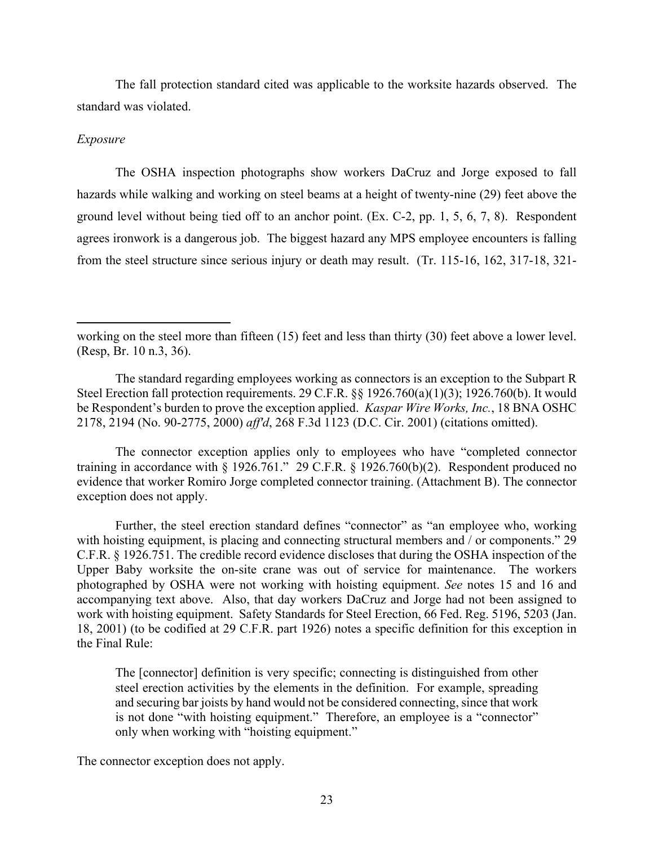The fall protection standard cited was applicable to the worksite hazards observed. The standard was violated.

# *Exposure*

The OSHA inspection photographs show workers DaCruz and Jorge exposed to fall hazards while walking and working on steel beams at a height of twenty-nine (29) feet above the ground level without being tied off to an anchor point. (Ex. C-2, pp. 1, 5, 6, 7, 8). Respondent agrees ironwork is a dangerous job. The biggest hazard any MPS employee encounters is falling from the steel structure since serious injury or death may result. (Tr. 115-16, 162, 317-18, 321-

The connector exception applies only to employees who have "completed connector training in accordance with § 1926.761." 29 C.F.R. § 1926.760(b)(2). Respondent produced no evidence that worker Romiro Jorge completed connector training. (Attachment B). The connector exception does not apply.

Further, the steel erection standard defines "connector" as "an employee who, working with hoisting equipment, is placing and connecting structural members and / or components." 29 C.F.R. § 1926.751. The credible record evidence discloses that during the OSHA inspection of the Upper Baby worksite the on-site crane was out of service for maintenance. The workers photographed by OSHA were not working with hoisting equipment. *See* notes 15 and 16 and accompanying text above. Also, that day workers DaCruz and Jorge had not been assigned to work with hoisting equipment. Safety Standards for Steel Erection, 66 Fed. Reg. 5196, 5203 (Jan. 18, 2001) (to be codified at 29 C.F.R. part 1926) notes a specific definition for this exception in the Final Rule:

The [connector] definition is very specific; connecting is distinguished from other steel erection activities by the elements in the definition. For example, spreading and securing bar joists by hand would not be considered connecting, since that work is not done "with hoisting equipment." Therefore, an employee is a "connector" only when working with "hoisting equipment."

The connector exception does not apply.

working on the steel more than fifteen (15) feet and less than thirty (30) feet above a lower level. (Resp, Br. 10 n.3, 36).

The standard regarding employees working as connectors is an exception to the Subpart R Steel Erection fall protection requirements. 29 C.F.R. §§ 1926.760(a)(1)(3); 1926.760(b). It would be Respondent's burden to prove the exception applied. *Kaspar Wire Works, Inc.*, 18 BNA OSHC 2178, 2194 (No. 90-2775, 2000) *aff'd*, 268 F.3d 1123 (D.C. Cir. 2001) (citations omitted).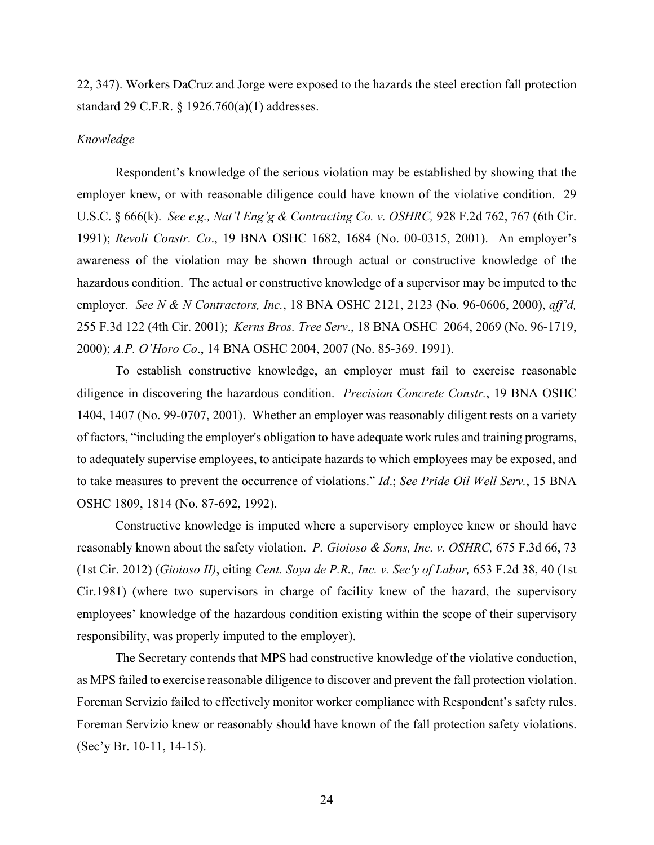22, 347). Workers DaCruz and Jorge were exposed to the hazards the steel erection fall protection standard 29 C.F.R. § 1926.760(a)(1) addresses.

#### *Knowledge*

Respondent's knowledge of the serious violation may be established by showing that the employer knew, or with reasonable diligence could have known of the violative condition. 29 U.S.C. § 666(k). *See e.g., Nat'l Eng'g & Contracting Co. v. OSHRC,* 928 F.2d 762, 767 (6th Cir. 1991); *Revoli Constr. Co*., 19 BNA OSHC 1682, 1684 (No. 00-0315, 2001). An employer's awareness of the violation may be shown through actual or constructive knowledge of the hazardous condition. The actual or constructive knowledge of a supervisor may be imputed to the employer*. See N & N Contractors, Inc.*, 18 BNA OSHC 2121, 2123 (No. 96-0606, 2000), *aff'd,*  255 F.3d 122 (4th Cir. 2001); *Kerns Bros. Tree Serv*., 18 BNA OSHC 2064, 2069 (No. 96-1719, 2000); *A.P. O'Horo Co*., 14 BNA OSHC 2004, 2007 (No. 85-369. 1991).

To establish constructive knowledge, an employer must fail to exercise reasonable diligence in discovering the hazardous condition. *Precision Concrete Constr.*, 19 BNA OSHC 1404, 1407 (No. 99-0707, 2001). Whether an employer was reasonably diligent rests on a variety of factors, "including the employer's obligation to have adequate work rules and training programs, to adequately supervise employees, to anticipate hazards to which employees may be exposed, and to take measures to prevent the occurrence of violations." *Id*.; *See Pride Oil Well Serv.*, 15 BNA OSHC 1809, 1814 (No. 87-692, 1992).

Constructive knowledge is imputed where a supervisory employee knew or should have reasonably known about the safety violation. *P. Gioioso & Sons, Inc. v. OSHRC,* 675 F.3d 66, 73 (1st Cir. 2012) (*Gioioso II)*, citing *Cent. Soya de P.R., Inc. v. Sec'y of Labor,* 653 F.2d 38, 40 (1st Cir.1981) (where two supervisors in charge of facility knew of the hazard, the supervisory employees' knowledge of the hazardous condition existing within the scope of their supervisory responsibility, was properly imputed to the employer).

The Secretary contends that MPS had constructive knowledge of the violative conduction, as MPS failed to exercise reasonable diligence to discover and prevent the fall protection violation. Foreman Servizio failed to effectively monitor worker compliance with Respondent's safety rules. Foreman Servizio knew or reasonably should have known of the fall protection safety violations. (Sec'y Br. 10-11, 14-15).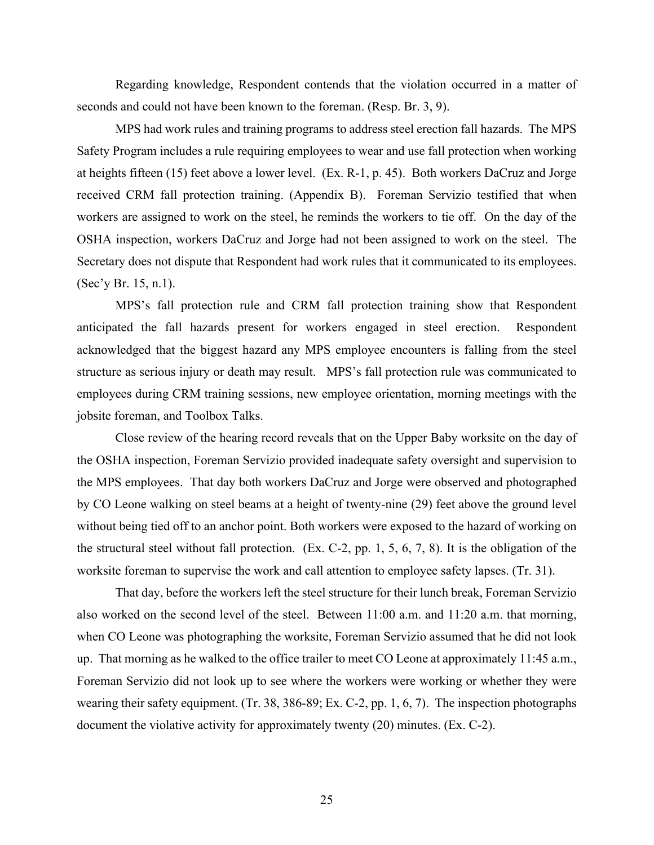Regarding knowledge, Respondent contends that the violation occurred in a matter of seconds and could not have been known to the foreman. (Resp. Br. 3, 9).

MPS had work rules and training programs to address steel erection fall hazards. The MPS Safety Program includes a rule requiring employees to wear and use fall protection when working at heights fifteen (15) feet above a lower level. (Ex. R-1, p. 45). Both workers DaCruz and Jorge received CRM fall protection training. (Appendix B). Foreman Servizio testified that when workers are assigned to work on the steel, he reminds the workers to tie off. On the day of the OSHA inspection, workers DaCruz and Jorge had not been assigned to work on the steel. The Secretary does not dispute that Respondent had work rules that it communicated to its employees. (Sec'y Br. 15, n.1).

MPS's fall protection rule and CRM fall protection training show that Respondent anticipated the fall hazards present for workers engaged in steel erection. Respondent acknowledged that the biggest hazard any MPS employee encounters is falling from the steel structure as serious injury or death may result. MPS's fall protection rule was communicated to employees during CRM training sessions, new employee orientation, morning meetings with the jobsite foreman, and Toolbox Talks.

Close review of the hearing record reveals that on the Upper Baby worksite on the day of the OSHA inspection, Foreman Servizio provided inadequate safety oversight and supervision to the MPS employees. That day both workers DaCruz and Jorge were observed and photographed by CO Leone walking on steel beams at a height of twenty-nine (29) feet above the ground level without being tied off to an anchor point. Both workers were exposed to the hazard of working on the structural steel without fall protection. (Ex. C-2, pp. 1, 5, 6, 7, 8). It is the obligation of the worksite foreman to supervise the work and call attention to employee safety lapses. (Tr. 31).

That day, before the workers left the steel structure for their lunch break, Foreman Servizio also worked on the second level of the steel. Between 11:00 a.m. and 11:20 a.m. that morning, when CO Leone was photographing the worksite, Foreman Servizio assumed that he did not look up. That morning as he walked to the office trailer to meet CO Leone at approximately 11:45 a.m., Foreman Servizio did not look up to see where the workers were working or whether they were wearing their safety equipment. (Tr. 38, 386-89; Ex. C-2, pp. 1, 6, 7). The inspection photographs document the violative activity for approximately twenty (20) minutes. (Ex. C-2).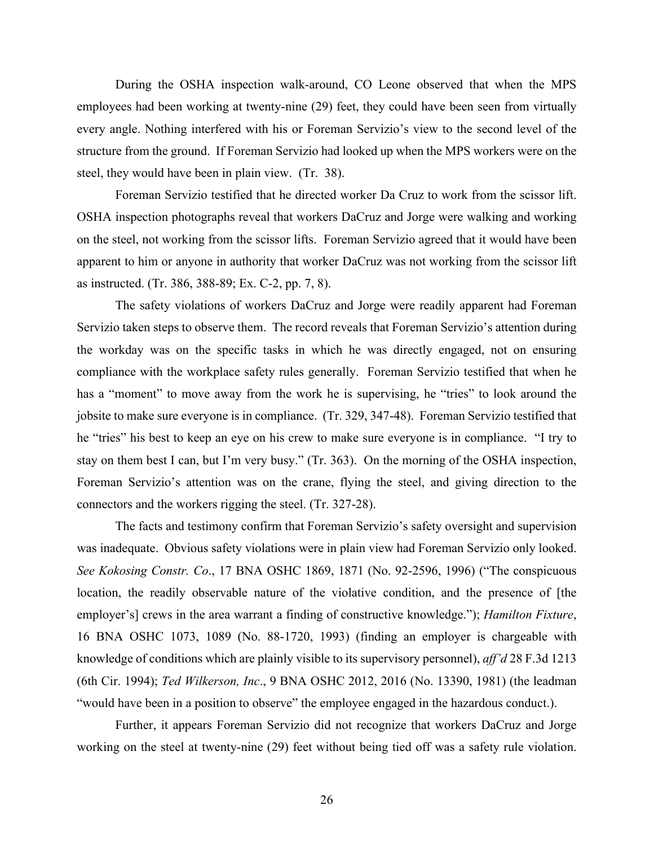During the OSHA inspection walk-around, CO Leone observed that when the MPS employees had been working at twenty-nine (29) feet, they could have been seen from virtually every angle. Nothing interfered with his or Foreman Servizio's view to the second level of the structure from the ground. If Foreman Servizio had looked up when the MPS workers were on the steel, they would have been in plain view. (Tr. 38).

Foreman Servizio testified that he directed worker Da Cruz to work from the scissor lift. OSHA inspection photographs reveal that workers DaCruz and Jorge were walking and working on the steel, not working from the scissor lifts. Foreman Servizio agreed that it would have been apparent to him or anyone in authority that worker DaCruz was not working from the scissor lift as instructed. (Tr. 386, 388-89; Ex. C-2, pp. 7, 8).

The safety violations of workers DaCruz and Jorge were readily apparent had Foreman Servizio taken steps to observe them. The record reveals that Foreman Servizio's attention during the workday was on the specific tasks in which he was directly engaged, not on ensuring compliance with the workplace safety rules generally. Foreman Servizio testified that when he has a "moment" to move away from the work he is supervising, he "tries" to look around the jobsite to make sure everyone is in compliance. (Tr. 329, 347-48). Foreman Servizio testified that he "tries" his best to keep an eye on his crew to make sure everyone is in compliance. "I try to stay on them best I can, but I'm very busy." (Tr. 363). On the morning of the OSHA inspection, Foreman Servizio's attention was on the crane, flying the steel, and giving direction to the connectors and the workers rigging the steel. (Tr. 327-28).

The facts and testimony confirm that Foreman Servizio's safety oversight and supervision was inadequate. Obvious safety violations were in plain view had Foreman Servizio only looked. *See Kokosing Constr. Co*., 17 BNA OSHC 1869, 1871 (No. 92-2596, 1996) ("The conspicuous location, the readily observable nature of the violative condition, and the presence of [the employer's] crews in the area warrant a finding of constructive knowledge."); *Hamilton Fixture*, 16 BNA OSHC 1073, 1089 (No. 88-1720, 1993) (finding an employer is chargeable with knowledge of conditions which are plainly visible to its supervisory personnel), *aff'd* 28 F.3d 1213 (6th Cir. 1994); *Ted Wilkerson, Inc*., 9 BNA OSHC 2012, 2016 (No. 13390, 1981) (the leadman "would have been in a position to observe" the employee engaged in the hazardous conduct.).

Further, it appears Foreman Servizio did not recognize that workers DaCruz and Jorge working on the steel at twenty-nine (29) feet without being tied off was a safety rule violation.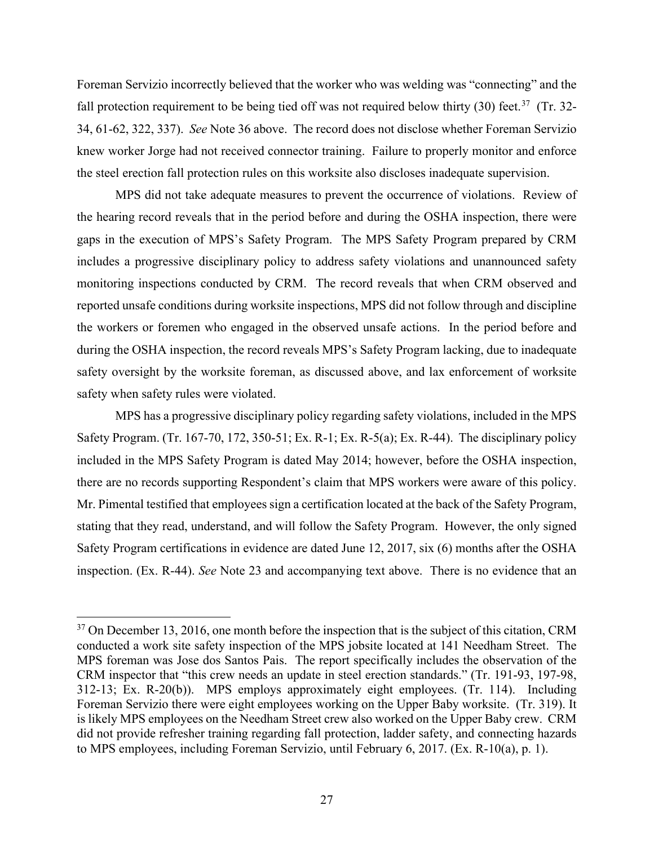Foreman Servizio incorrectly believed that the worker who was welding was "connecting" and the fall protection requirement to be being tied off was not required below thirty (30) feet.<sup>[37](#page-26-0)</sup> (Tr. 32-34, 61-62, 322, 337). *See* Note 36 above. The record does not disclose whether Foreman Servizio knew worker Jorge had not received connector training. Failure to properly monitor and enforce the steel erection fall protection rules on this worksite also discloses inadequate supervision.

MPS did not take adequate measures to prevent the occurrence of violations. Review of the hearing record reveals that in the period before and during the OSHA inspection, there were gaps in the execution of MPS's Safety Program. The MPS Safety Program prepared by CRM includes a progressive disciplinary policy to address safety violations and unannounced safety monitoring inspections conducted by CRM. The record reveals that when CRM observed and reported unsafe conditions during worksite inspections, MPS did not follow through and discipline the workers or foremen who engaged in the observed unsafe actions. In the period before and during the OSHA inspection, the record reveals MPS's Safety Program lacking, due to inadequate safety oversight by the worksite foreman, as discussed above, and lax enforcement of worksite safety when safety rules were violated.

MPS has a progressive disciplinary policy regarding safety violations, included in the MPS Safety Program. (Tr. 167-70, 172, 350-51; Ex. R-1; Ex. R-5(a); Ex. R-44). The disciplinary policy included in the MPS Safety Program is dated May 2014; however, before the OSHA inspection, there are no records supporting Respondent's claim that MPS workers were aware of this policy. Mr. Pimental testified that employees sign a certification located at the back of the Safety Program, stating that they read, understand, and will follow the Safety Program. However, the only signed Safety Program certifications in evidence are dated June 12, 2017, six (6) months after the OSHA inspection. (Ex. R-44). *See* Note 23 and accompanying text above. There is no evidence that an

<span id="page-26-0"></span><sup>&</sup>lt;sup>37</sup> On December 13, 2016, one month before the inspection that is the subject of this citation, CRM conducted a work site safety inspection of the MPS jobsite located at 141 Needham Street. The MPS foreman was Jose dos Santos Pais. The report specifically includes the observation of the CRM inspector that "this crew needs an update in steel erection standards." (Tr. 191-93, 197-98, 312-13; Ex. R-20(b)). MPS employs approximately eight employees. (Tr. 114). Including Foreman Servizio there were eight employees working on the Upper Baby worksite. (Tr. 319). It is likely MPS employees on the Needham Street crew also worked on the Upper Baby crew. CRM did not provide refresher training regarding fall protection, ladder safety, and connecting hazards to MPS employees, including Foreman Servizio, until February 6, 2017. (Ex. R-10(a), p. 1).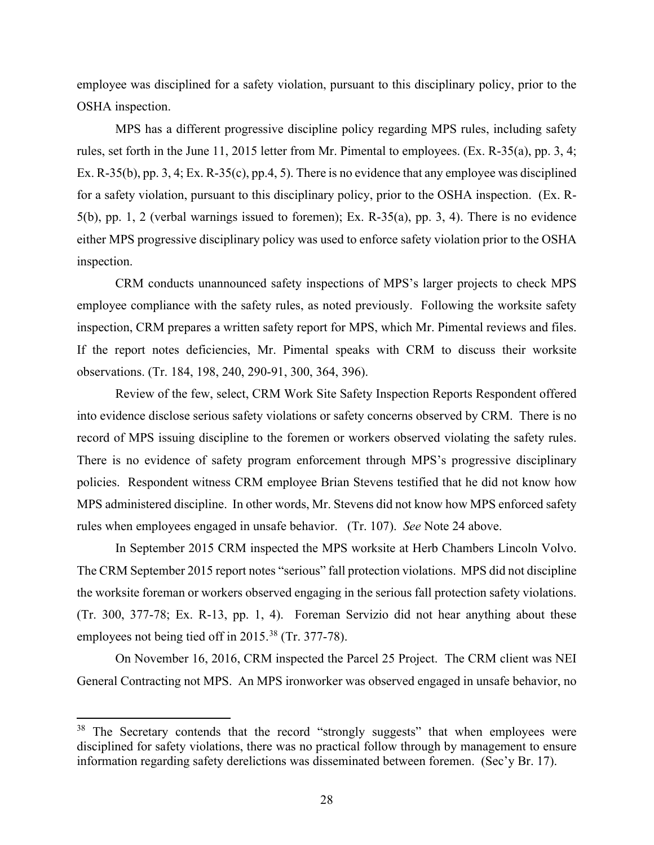employee was disciplined for a safety violation, pursuant to this disciplinary policy, prior to the OSHA inspection.

MPS has a different progressive discipline policy regarding MPS rules, including safety rules, set forth in the June 11, 2015 letter from Mr. Pimental to employees. (Ex. R-35(a), pp. 3, 4; Ex. R-35(b), pp. 3, 4; Ex. R-35(c), pp.4, 5). There is no evidence that any employee was disciplined for a safety violation, pursuant to this disciplinary policy, prior to the OSHA inspection. (Ex. R-5(b), pp. 1, 2 (verbal warnings issued to foremen); Ex. R-35(a), pp. 3, 4). There is no evidence either MPS progressive disciplinary policy was used to enforce safety violation prior to the OSHA inspection.

CRM conducts unannounced safety inspections of MPS's larger projects to check MPS employee compliance with the safety rules, as noted previously. Following the worksite safety inspection, CRM prepares a written safety report for MPS, which Mr. Pimental reviews and files. If the report notes deficiencies, Mr. Pimental speaks with CRM to discuss their worksite observations. (Tr. 184, 198, 240, 290-91, 300, 364, 396).

Review of the few, select, CRM Work Site Safety Inspection Reports Respondent offered into evidence disclose serious safety violations or safety concerns observed by CRM. There is no record of MPS issuing discipline to the foremen or workers observed violating the safety rules. There is no evidence of safety program enforcement through MPS's progressive disciplinary policies. Respondent witness CRM employee Brian Stevens testified that he did not know how MPS administered discipline. In other words, Mr. Stevens did not know how MPS enforced safety rules when employees engaged in unsafe behavior. (Tr. 107). *See* Note 24 above.

In September 2015 CRM inspected the MPS worksite at Herb Chambers Lincoln Volvo. The CRM September 2015 report notes "serious" fall protection violations. MPS did not discipline the worksite foreman or workers observed engaging in the serious fall protection safety violations. (Tr. 300, 377-78; Ex. R-13, pp. 1, 4). Foreman Servizio did not hear anything about these employees not being tied off in 2015.<sup>[38](#page-27-0)</sup> (Tr. 377-78).

On November 16, 2016, CRM inspected the Parcel 25 Project. The CRM client was NEI General Contracting not MPS. An MPS ironworker was observed engaged in unsafe behavior, no

<span id="page-27-0"></span><sup>&</sup>lt;sup>38</sup> The Secretary contends that the record "strongly suggests" that when employees were disciplined for safety violations, there was no practical follow through by management to ensure information regarding safety derelictions was disseminated between foremen. (Sec'y Br. 17).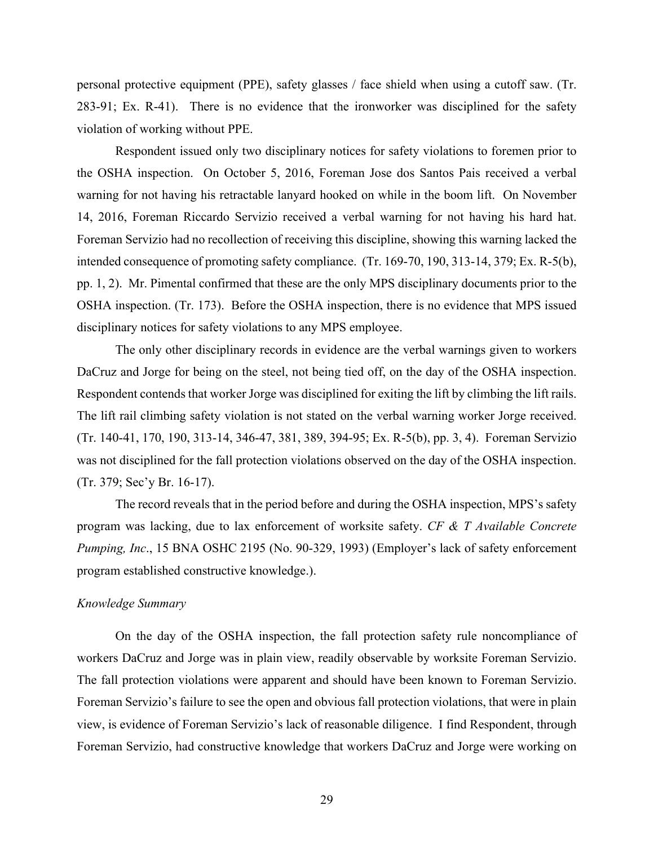personal protective equipment (PPE), safety glasses / face shield when using a cutoff saw. (Tr. 283-91; Ex. R-41). There is no evidence that the ironworker was disciplined for the safety violation of working without PPE.

Respondent issued only two disciplinary notices for safety violations to foremen prior to the OSHA inspection. On October 5, 2016, Foreman Jose dos Santos Pais received a verbal warning for not having his retractable lanyard hooked on while in the boom lift. On November 14, 2016, Foreman Riccardo Servizio received a verbal warning for not having his hard hat. Foreman Servizio had no recollection of receiving this discipline, showing this warning lacked the intended consequence of promoting safety compliance. (Tr. 169-70, 190, 313-14, 379; Ex. R-5(b), pp. 1, 2). Mr. Pimental confirmed that these are the only MPS disciplinary documents prior to the OSHA inspection. (Tr. 173). Before the OSHA inspection, there is no evidence that MPS issued disciplinary notices for safety violations to any MPS employee.

The only other disciplinary records in evidence are the verbal warnings given to workers DaCruz and Jorge for being on the steel, not being tied off, on the day of the OSHA inspection. Respondent contends that worker Jorge was disciplined for exiting the lift by climbing the lift rails. The lift rail climbing safety violation is not stated on the verbal warning worker Jorge received. (Tr. 140-41, 170, 190, 313-14, 346-47, 381, 389, 394-95; Ex. R-5(b), pp. 3, 4). Foreman Servizio was not disciplined for the fall protection violations observed on the day of the OSHA inspection. (Tr. 379; Sec'y Br. 16-17).

The record reveals that in the period before and during the OSHA inspection, MPS's safety program was lacking, due to lax enforcement of worksite safety. *CF & T Available Concrete Pumping, Inc*., 15 BNA OSHC 2195 (No. 90-329, 1993) (Employer's lack of safety enforcement program established constructive knowledge.).

#### *Knowledge Summary*

On the day of the OSHA inspection, the fall protection safety rule noncompliance of workers DaCruz and Jorge was in plain view, readily observable by worksite Foreman Servizio. The fall protection violations were apparent and should have been known to Foreman Servizio. Foreman Servizio's failure to see the open and obvious fall protection violations, that were in plain view, is evidence of Foreman Servizio's lack of reasonable diligence. I find Respondent, through Foreman Servizio, had constructive knowledge that workers DaCruz and Jorge were working on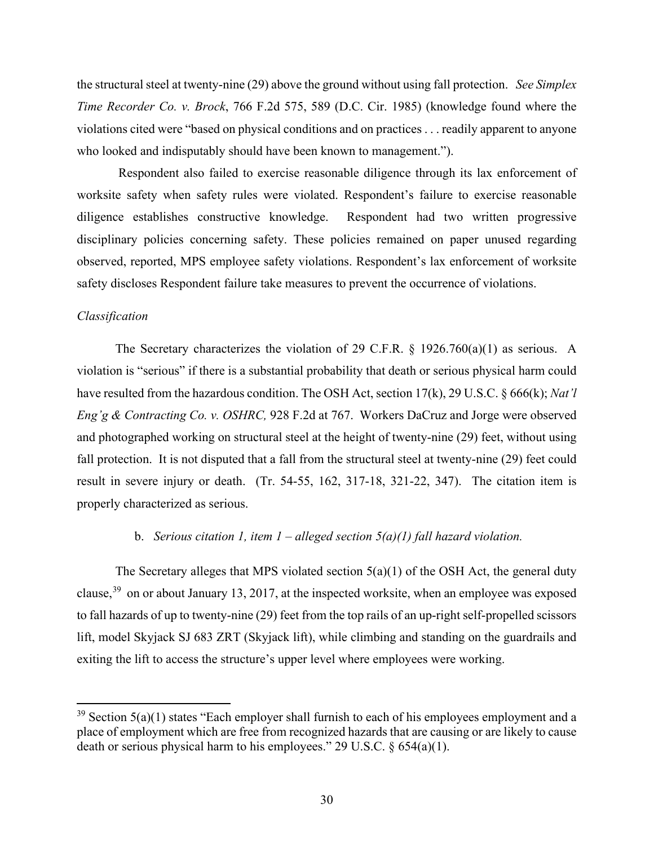the structural steel at twenty-nine (29) above the ground without using fall protection. *See Simplex Time Recorder Co. v. Brock*, 766 F.2d 575, 589 (D.C. Cir. 1985) (knowledge found where the violations cited were "based on physical conditions and on practices . . . readily apparent to anyone who looked and indisputably should have been known to management.").

 Respondent also failed to exercise reasonable diligence through its lax enforcement of worksite safety when safety rules were violated. Respondent's failure to exercise reasonable diligence establishes constructive knowledge. Respondent had two written progressive disciplinary policies concerning safety. These policies remained on paper unused regarding observed, reported, MPS employee safety violations. Respondent's lax enforcement of worksite safety discloses Respondent failure take measures to prevent the occurrence of violations.

### *Classification*

The Secretary characterizes the violation of 29 C.F.R. § 1926.760(a)(1) as serious. A violation is "serious" if there is a substantial probability that death or serious physical harm could have resulted from the hazardous condition. The OSH Act, section 17(k), 29 U.S.C. § 666(k); *Nat'l Eng'g & Contracting Co. v. OSHRC,* 928 F.2d at 767. Workers DaCruz and Jorge were observed and photographed working on structural steel at the height of twenty-nine (29) feet, without using fall protection. It is not disputed that a fall from the structural steel at twenty-nine (29) feet could result in severe injury or death. (Tr. 54-55, 162, 317-18, 321-22, 347). The citation item is properly characterized as serious.

#### b. *Serious citation 1, item 1 – alleged section 5(a)(1) fall hazard violation.*

The Secretary alleges that MPS violated section  $5(a)(1)$  of the OSH Act, the general duty clause,  $39$  on or about January 13, 2017, at the inspected worksite, when an employee was exposed to fall hazards of up to twenty-nine (29) feet from the top rails of an up-right self-propelled scissors lift, model Skyjack SJ 683 ZRT (Skyjack lift), while climbing and standing on the guardrails and exiting the lift to access the structure's upper level where employees were working.

<span id="page-29-0"></span> $39$  Section  $5(a)(1)$  states "Each employer shall furnish to each of his employees employment and a place of employment which are free from recognized hazards that are causing or are likely to cause death or serious physical harm to his employees." 29 U.S.C. § 654(a)(1).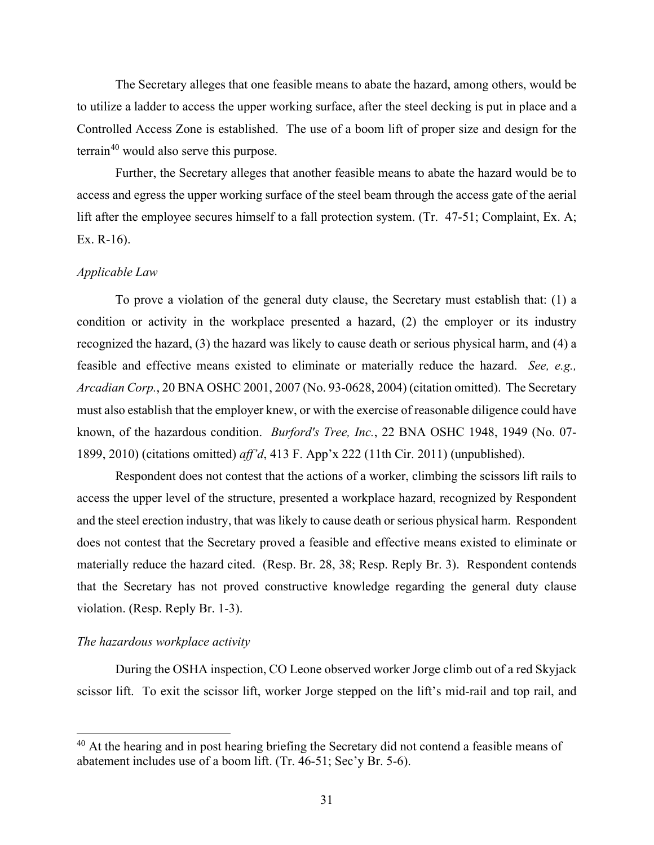The Secretary alleges that one feasible means to abate the hazard, among others, would be to utilize a ladder to access the upper working surface, after the steel decking is put in place and a Controlled Access Zone is established. The use of a boom lift of proper size and design for the terrain<sup>40</sup> would also serve this purpose.

Further, the Secretary alleges that another feasible means to abate the hazard would be to access and egress the upper working surface of the steel beam through the access gate of the aerial lift after the employee secures himself to a fall protection system. (Tr. 47-51; Complaint, Ex. A; Ex. R-16).

# *Applicable Law*

To prove a violation of the general duty clause, the Secretary must establish that: (1) a condition or activity in the workplace presented a hazard, (2) the employer or its industry recognized the hazard, (3) the hazard was likely to cause death or serious physical harm, and (4) a feasible and effective means existed to eliminate or materially reduce the hazard. *See, e.g., Arcadian Corp.*, 20 BNA OSHC 2001, 2007 (No. 93-0628, 2004) (citation omitted). The Secretary must also establish that the employer knew, or with the exercise of reasonable diligence could have known, of the hazardous condition. *Burford's Tree, Inc.*, 22 BNA OSHC 1948, 1949 (No. 07- 1899, 2010) (citations omitted) *aff'd*, 413 F. App'x 222 (11th Cir. 2011) (unpublished).

Respondent does not contest that the actions of a worker, climbing the scissors lift rails to access the upper level of the structure, presented a workplace hazard, recognized by Respondent and the steel erection industry, that was likely to cause death or serious physical harm. Respondent does not contest that the Secretary proved a feasible and effective means existed to eliminate or materially reduce the hazard cited. (Resp. Br. 28, 38; Resp. Reply Br. 3). Respondent contends that the Secretary has not proved constructive knowledge regarding the general duty clause violation. (Resp. Reply Br. 1-3).

#### *The hazardous workplace activity*

 During the OSHA inspection, CO Leone observed worker Jorge climb out of a red Skyjack scissor lift. To exit the scissor lift, worker Jorge stepped on the lift's mid-rail and top rail, and

<span id="page-30-0"></span><sup>&</sup>lt;sup>40</sup> At the hearing and in post hearing briefing the Secretary did not contend a feasible means of abatement includes use of a boom lift. (Tr. 46-51; Sec'y Br. 5-6).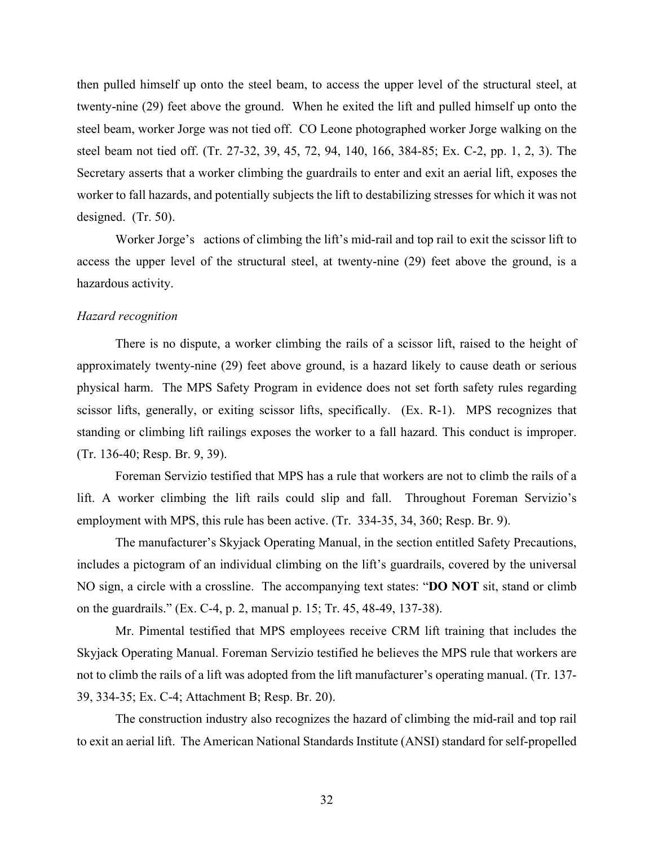then pulled himself up onto the steel beam, to access the upper level of the structural steel, at twenty-nine (29) feet above the ground. When he exited the lift and pulled himself up onto the steel beam, worker Jorge was not tied off. CO Leone photographed worker Jorge walking on the steel beam not tied off. (Tr. 27-32, 39, 45, 72, 94, 140, 166, 384-85; Ex. C-2, pp. 1, 2, 3). The Secretary asserts that a worker climbing the guardrails to enter and exit an aerial lift, exposes the worker to fall hazards, and potentially subjects the lift to destabilizing stresses for which it was not designed. (Tr. 50).

Worker Jorge's actions of climbing the lift's mid-rail and top rail to exit the scissor lift to access the upper level of the structural steel, at twenty-nine (29) feet above the ground, is a hazardous activity.

### *Hazard recognition*

There is no dispute, a worker climbing the rails of a scissor lift, raised to the height of approximately twenty-nine (29) feet above ground, is a hazard likely to cause death or serious physical harm. The MPS Safety Program in evidence does not set forth safety rules regarding scissor lifts, generally, or exiting scissor lifts, specifically. (Ex. R-1). MPS recognizes that standing or climbing lift railings exposes the worker to a fall hazard. This conduct is improper. (Tr. 136-40; Resp. Br. 9, 39).

Foreman Servizio testified that MPS has a rule that workers are not to climb the rails of a lift. A worker climbing the lift rails could slip and fall. Throughout Foreman Servizio's employment with MPS, this rule has been active. (Tr. 334-35, 34, 360; Resp. Br. 9).

The manufacturer's Skyjack Operating Manual, in the section entitled Safety Precautions, includes a pictogram of an individual climbing on the lift's guardrails, covered by the universal NO sign, a circle with a crossline. The accompanying text states: "**DO NOT** sit, stand or climb on the guardrails." (Ex. C-4, p. 2, manual p. 15; Tr. 45, 48-49, 137-38).

Mr. Pimental testified that MPS employees receive CRM lift training that includes the Skyjack Operating Manual. Foreman Servizio testified he believes the MPS rule that workers are not to climb the rails of a lift was adopted from the lift manufacturer's operating manual. (Tr. 137- 39, 334-35; Ex. C-4; Attachment B; Resp. Br. 20).

The construction industry also recognizes the hazard of climbing the mid-rail and top rail to exit an aerial lift. The American National Standards Institute (ANSI) standard for self-propelled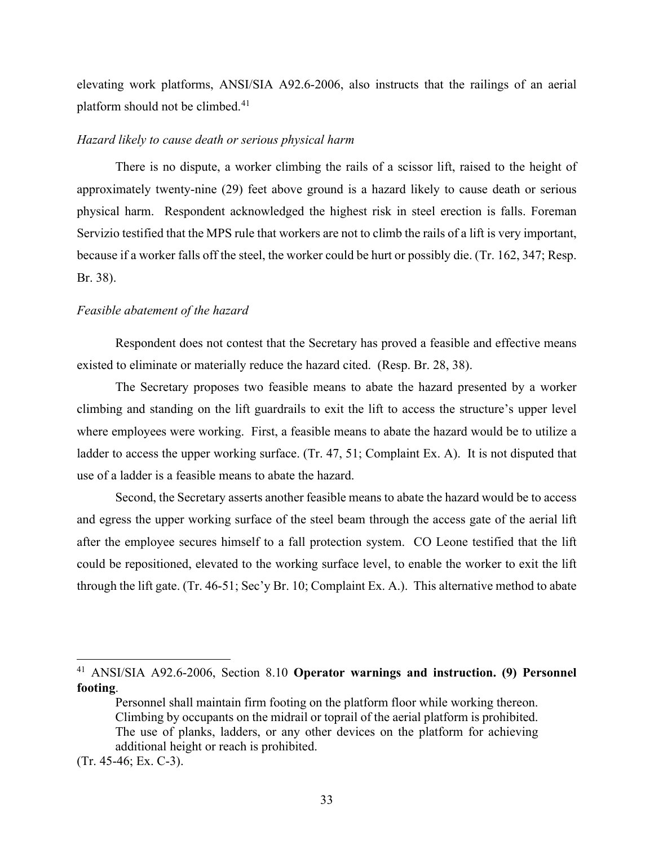elevating work platforms, ANSI/SIA A92.6-2006, also instructs that the railings of an aerial platform should not be climbed. $41$ 

#### *Hazard likely to cause death or serious physical harm*

There is no dispute, a worker climbing the rails of a scissor lift, raised to the height of approximately twenty-nine (29) feet above ground is a hazard likely to cause death or serious physical harm. Respondent acknowledged the highest risk in steel erection is falls. Foreman Servizio testified that the MPS rule that workers are not to climb the rails of a lift is very important, because if a worker falls off the steel, the worker could be hurt or possibly die. (Tr. 162, 347; Resp. Br. 38).

#### *Feasible abatement of the hazard*

Respondent does not contest that the Secretary has proved a feasible and effective means existed to eliminate or materially reduce the hazard cited. (Resp. Br. 28, 38).

The Secretary proposes two feasible means to abate the hazard presented by a worker climbing and standing on the lift guardrails to exit the lift to access the structure's upper level where employees were working. First, a feasible means to abate the hazard would be to utilize a ladder to access the upper working surface. (Tr. 47, 51; Complaint Ex. A). It is not disputed that use of a ladder is a feasible means to abate the hazard.

Second, the Secretary asserts another feasible means to abate the hazard would be to access and egress the upper working surface of the steel beam through the access gate of the aerial lift after the employee secures himself to a fall protection system. CO Leone testified that the lift could be repositioned, elevated to the working surface level, to enable the worker to exit the lift through the lift gate. (Tr. 46-51; Sec'y Br. 10; Complaint Ex. A.). This alternative method to abate

<span id="page-32-0"></span><sup>41</sup> ANSI/SIA A92.6-2006, Section 8.10 **Operator warnings and instruction. (9) Personnel footing**.

Personnel shall maintain firm footing on the platform floor while working thereon. Climbing by occupants on the midrail or toprail of the aerial platform is prohibited. The use of planks, ladders, or any other devices on the platform for achieving additional height or reach is prohibited.

<sup>(</sup>Tr. 45-46; Ex. C-3).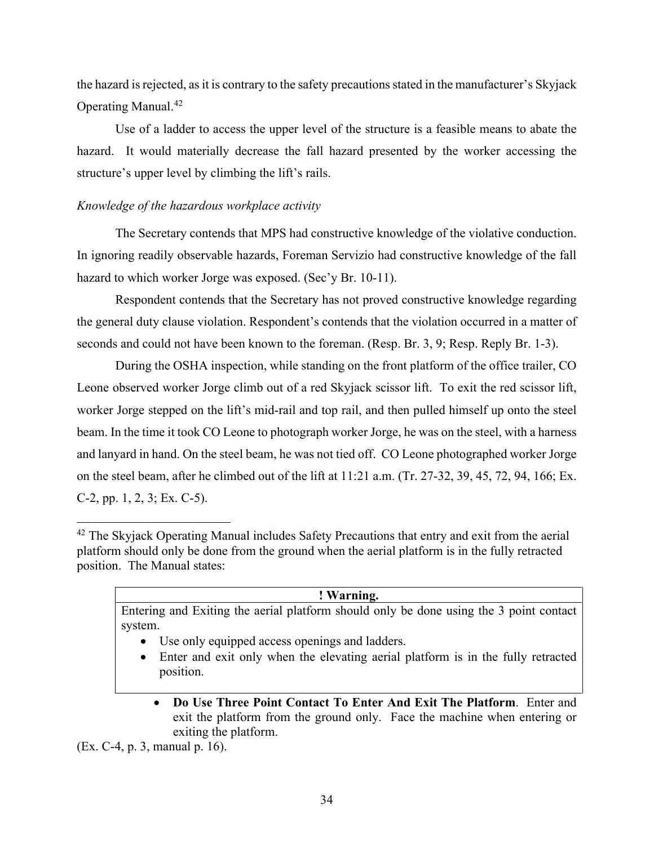the hazard is rejected, as it is contrary to the safety precautions stated in the manufacturer's Skyjack Operating Manual.[42](#page-33-0)

Use of a ladder to access the upper level of the structure is a feasible means to abate the hazard. It would materially decrease the fall hazard presented by the worker accessing the structure's upper level by climbing the lift's rails.

# *Knowledge of the hazardous workplace activity*

The Secretary contends that MPS had constructive knowledge of the violative conduction. In ignoring readily observable hazards, Foreman Servizio had constructive knowledge of the fall hazard to which worker Jorge was exposed. (Sec'y Br. 10-11).

Respondent contends that the Secretary has not proved constructive knowledge regarding the general duty clause violation. Respondent's contends that the violation occurred in a matter of seconds and could not have been known to the foreman. (Resp. Br. 3, 9; Resp. Reply Br. 1-3).

During the OSHA inspection, while standing on the front platform of the office trailer, CO Leone observed worker Jorge climb out of a red Skyjack scissor lift. To exit the red scissor lift, worker Jorge stepped on the lift's mid-rail and top rail, and then pulled himself up onto the steel beam. In the time it took CO Leone to photograph worker Jorge, he was on the steel, with a harness and lanyard in hand. On the steel beam, he was not tied off. CO Leone photographed worker Jorge on the steel beam, after he climbed out of the lift at 11:21 a.m. (Tr. 27-32, 39, 45, 72, 94, 166; Ex. C-2, pp. 1, 2, 3; Ex. C-5).

#### **! Warning.**

Entering and Exiting the aerial platform should only be done using the 3 point contact system.

- Use only equipped access openings and ladders.
- Enter and exit only when the elevating aerial platform is in the fully retracted position.
	- **Do Use Three Point Contact To Enter And Exit The Platform**. Enter and exit the platform from the ground only. Face the machine when entering or exiting the platform.

(Ex. C-4, p. 3, manual p. 16).

<span id="page-33-0"></span><sup>&</sup>lt;sup>42</sup> The Skyjack Operating Manual includes Safety Precautions that entry and exit from the aerial platform should only be done from the ground when the aerial platform is in the fully retracted position. The Manual states: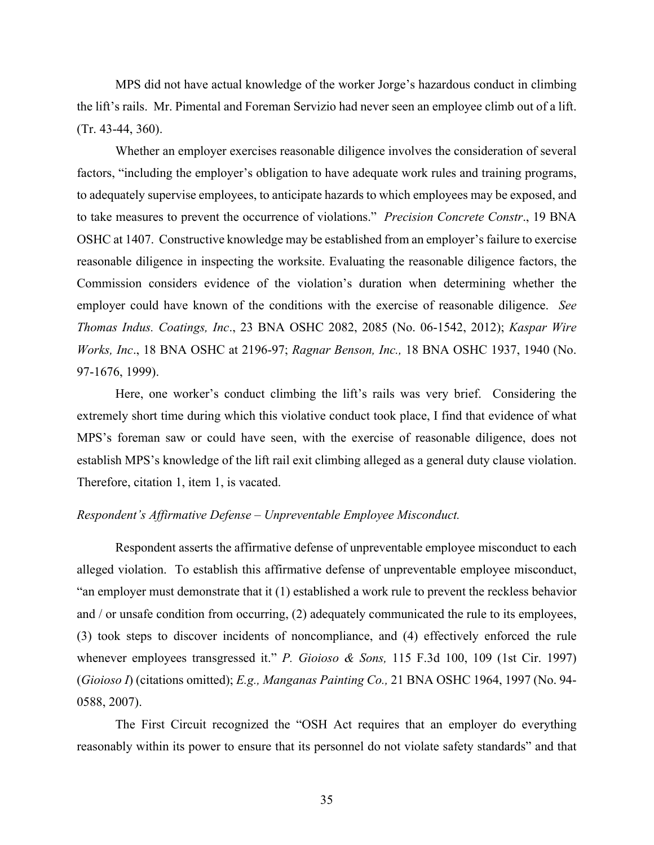MPS did not have actual knowledge of the worker Jorge's hazardous conduct in climbing the lift's rails. Mr. Pimental and Foreman Servizio had never seen an employee climb out of a lift. (Tr. 43-44, 360).

Whether an employer exercises reasonable diligence involves the consideration of several factors, "including the employer's obligation to have adequate work rules and training programs, to adequately supervise employees, to anticipate hazards to which employees may be exposed, and to take measures to prevent the occurrence of violations." *Precision Concrete Constr*., 19 BNA OSHC at 1407. Constructive knowledge may be established from an employer's failure to exercise reasonable diligence in inspecting the worksite. Evaluating the reasonable diligence factors, the Commission considers evidence of the violation's duration when determining whether the employer could have known of the conditions with the exercise of reasonable diligence. *See Thomas Indus. Coatings, Inc*., 23 BNA OSHC 2082, 2085 (No. 06-1542, 2012); *Kaspar Wire Works, Inc*., 18 BNA OSHC at 2196-97; *Ragnar Benson, Inc.,* 18 BNA OSHC 1937, 1940 (No. 97-1676, 1999).

Here, one worker's conduct climbing the lift's rails was very brief. Considering the extremely short time during which this violative conduct took place, I find that evidence of what MPS's foreman saw or could have seen, with the exercise of reasonable diligence, does not establish MPS's knowledge of the lift rail exit climbing alleged as a general duty clause violation. Therefore, citation 1, item 1, is vacated.

#### *Respondent's Affirmative Defense – Unpreventable Employee Misconduct.*

Respondent asserts the affirmative defense of unpreventable employee misconduct to each alleged violation. To establish this affirmative defense of unpreventable employee misconduct, "an employer must demonstrate that it (1) established a work rule to prevent the reckless behavior and / or unsafe condition from occurring, (2) adequately communicated the rule to its employees, (3) took steps to discover incidents of noncompliance, and (4) effectively enforced the rule whenever employees transgressed it." *P. Gioioso & Sons,* 115 F.3d 100, 109 (1st Cir. 1997) (*Gioioso I*) (citations omitted); *E.g., Manganas Painting Co.,* 21 BNA OSHC 1964, 1997 (No. 94- 0588, 2007).

The First Circuit recognized the "OSH Act requires that an employer do everything reasonably within its power to ensure that its personnel do not violate safety standards" and that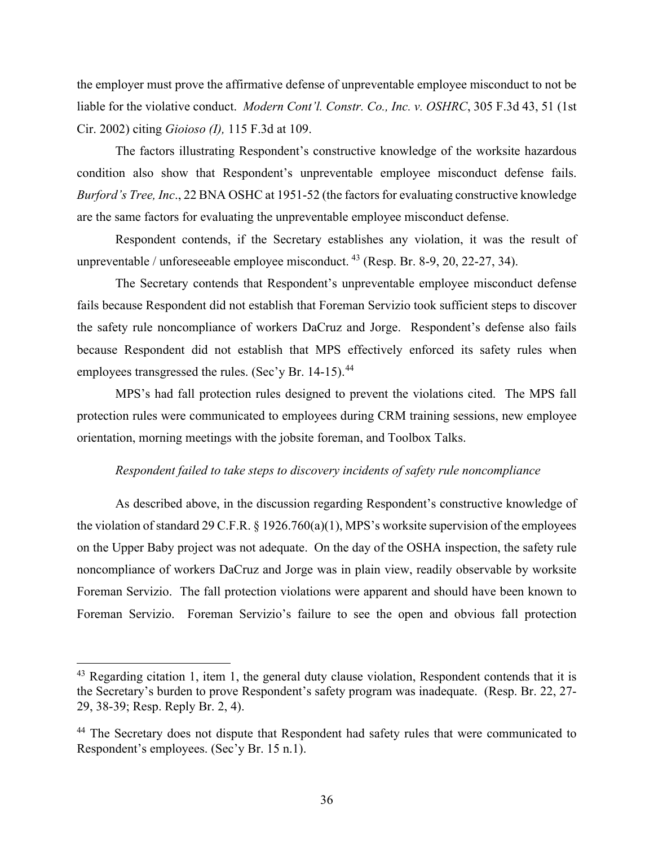the employer must prove the affirmative defense of unpreventable employee misconduct to not be liable for the violative conduct. *Modern Cont'l. Constr. Co., Inc. v. OSHRC*, 305 F.3d 43, 51 (1st Cir. 2002) citing *Gioioso (I),* 115 F.3d at 109.

The factors illustrating Respondent's constructive knowledge of the worksite hazardous condition also show that Respondent's unpreventable employee misconduct defense fails. *Burford's Tree, Inc*., 22 BNA OSHC at 1951-52 (the factors for evaluating constructive knowledge are the same factors for evaluating the unpreventable employee misconduct defense.

Respondent contends, if the Secretary establishes any violation, it was the result of unpreventable / unforeseeable employee misconduct. <sup>[43](#page-35-0)</sup> (Resp. Br. 8-9, 20, 22-27, 34).

The Secretary contends that Respondent's unpreventable employee misconduct defense fails because Respondent did not establish that Foreman Servizio took sufficient steps to discover the safety rule noncompliance of workers DaCruz and Jorge. Respondent's defense also fails because Respondent did not establish that MPS effectively enforced its safety rules when employees transgressed the rules. (Sec'y Br. 14-15).<sup>44</sup>

MPS's had fall protection rules designed to prevent the violations cited. The MPS fall protection rules were communicated to employees during CRM training sessions, new employee orientation, morning meetings with the jobsite foreman, and Toolbox Talks.

### *Respondent failed to take steps to discovery incidents of safety rule noncompliance*

As described above, in the discussion regarding Respondent's constructive knowledge of the violation of standard 29 C.F.R.  $\S$  1926.760(a)(1), MPS's worksite supervision of the employees on the Upper Baby project was not adequate. On the day of the OSHA inspection, the safety rule noncompliance of workers DaCruz and Jorge was in plain view, readily observable by worksite Foreman Servizio. The fall protection violations were apparent and should have been known to Foreman Servizio. Foreman Servizio's failure to see the open and obvious fall protection

<span id="page-35-0"></span> $43$  Regarding citation 1, item 1, the general duty clause violation, Respondent contends that it is the Secretary's burden to prove Respondent's safety program was inadequate. (Resp. Br. 22, 27- 29, 38-39; Resp. Reply Br. 2, 4).

<span id="page-35-1"></span><sup>&</sup>lt;sup>44</sup> The Secretary does not dispute that Respondent had safety rules that were communicated to Respondent's employees. (Sec'y Br. 15 n.1).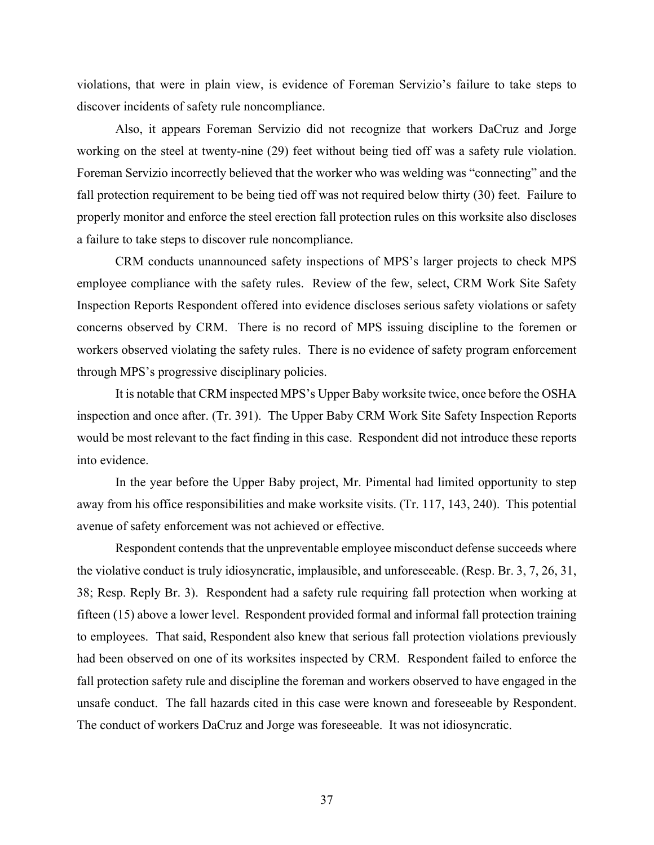violations, that were in plain view, is evidence of Foreman Servizio's failure to take steps to discover incidents of safety rule noncompliance.

Also, it appears Foreman Servizio did not recognize that workers DaCruz and Jorge working on the steel at twenty-nine (29) feet without being tied off was a safety rule violation. Foreman Servizio incorrectly believed that the worker who was welding was "connecting" and the fall protection requirement to be being tied off was not required below thirty (30) feet. Failure to properly monitor and enforce the steel erection fall protection rules on this worksite also discloses a failure to take steps to discover rule noncompliance.

CRM conducts unannounced safety inspections of MPS's larger projects to check MPS employee compliance with the safety rules. Review of the few, select, CRM Work Site Safety Inspection Reports Respondent offered into evidence discloses serious safety violations or safety concerns observed by CRM. There is no record of MPS issuing discipline to the foremen or workers observed violating the safety rules. There is no evidence of safety program enforcement through MPS's progressive disciplinary policies.

It is notable that CRM inspected MPS's Upper Baby worksite twice, once before the OSHA inspection and once after. (Tr. 391). The Upper Baby CRM Work Site Safety Inspection Reports would be most relevant to the fact finding in this case. Respondent did not introduce these reports into evidence.

In the year before the Upper Baby project, Mr. Pimental had limited opportunity to step away from his office responsibilities and make worksite visits. (Tr. 117, 143, 240). This potential avenue of safety enforcement was not achieved or effective.

Respondent contends that the unpreventable employee misconduct defense succeeds where the violative conduct is truly idiosyncratic, implausible, and unforeseeable. (Resp. Br. 3, 7, 26, 31, 38; Resp. Reply Br. 3). Respondent had a safety rule requiring fall protection when working at fifteen (15) above a lower level. Respondent provided formal and informal fall protection training to employees. That said, Respondent also knew that serious fall protection violations previously had been observed on one of its worksites inspected by CRM. Respondent failed to enforce the fall protection safety rule and discipline the foreman and workers observed to have engaged in the unsafe conduct. The fall hazards cited in this case were known and foreseeable by Respondent. The conduct of workers DaCruz and Jorge was foreseeable. It was not idiosyncratic.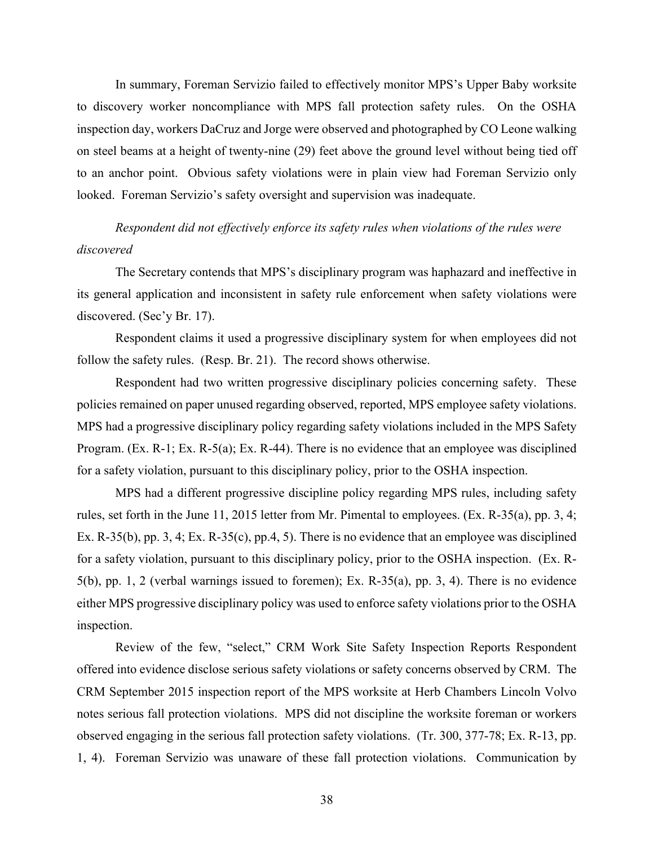In summary, Foreman Servizio failed to effectively monitor MPS's Upper Baby worksite to discovery worker noncompliance with MPS fall protection safety rules. On the OSHA inspection day, workers DaCruz and Jorge were observed and photographed by CO Leone walking on steel beams at a height of twenty-nine (29) feet above the ground level without being tied off to an anchor point. Obvious safety violations were in plain view had Foreman Servizio only looked. Foreman Servizio's safety oversight and supervision was inadequate.

# *Respondent did not effectively enforce its safety rules when violations of the rules were discovered*

The Secretary contends that MPS's disciplinary program was haphazard and ineffective in its general application and inconsistent in safety rule enforcement when safety violations were discovered. (Sec'y Br. 17).

Respondent claims it used a progressive disciplinary system for when employees did not follow the safety rules. (Resp. Br. 21). The record shows otherwise.

Respondent had two written progressive disciplinary policies concerning safety. These policies remained on paper unused regarding observed, reported, MPS employee safety violations. MPS had a progressive disciplinary policy regarding safety violations included in the MPS Safety Program. (Ex. R-1; Ex. R-5(a); Ex. R-44). There is no evidence that an employee was disciplined for a safety violation, pursuant to this disciplinary policy, prior to the OSHA inspection.

MPS had a different progressive discipline policy regarding MPS rules, including safety rules, set forth in the June 11, 2015 letter from Mr. Pimental to employees. (Ex. R-35(a), pp. 3, 4; Ex. R-35(b), pp. 3, 4; Ex. R-35(c), pp.4, 5). There is no evidence that an employee was disciplined for a safety violation, pursuant to this disciplinary policy, prior to the OSHA inspection. (Ex. R-5(b), pp. 1, 2 (verbal warnings issued to foremen); Ex. R-35(a), pp. 3, 4). There is no evidence either MPS progressive disciplinary policy was used to enforce safety violations prior to the OSHA inspection.

Review of the few, "select," CRM Work Site Safety Inspection Reports Respondent offered into evidence disclose serious safety violations or safety concerns observed by CRM. The CRM September 2015 inspection report of the MPS worksite at Herb Chambers Lincoln Volvo notes serious fall protection violations. MPS did not discipline the worksite foreman or workers observed engaging in the serious fall protection safety violations. (Tr. 300, 377-78; Ex. R-13, pp. 1, 4). Foreman Servizio was unaware of these fall protection violations. Communication by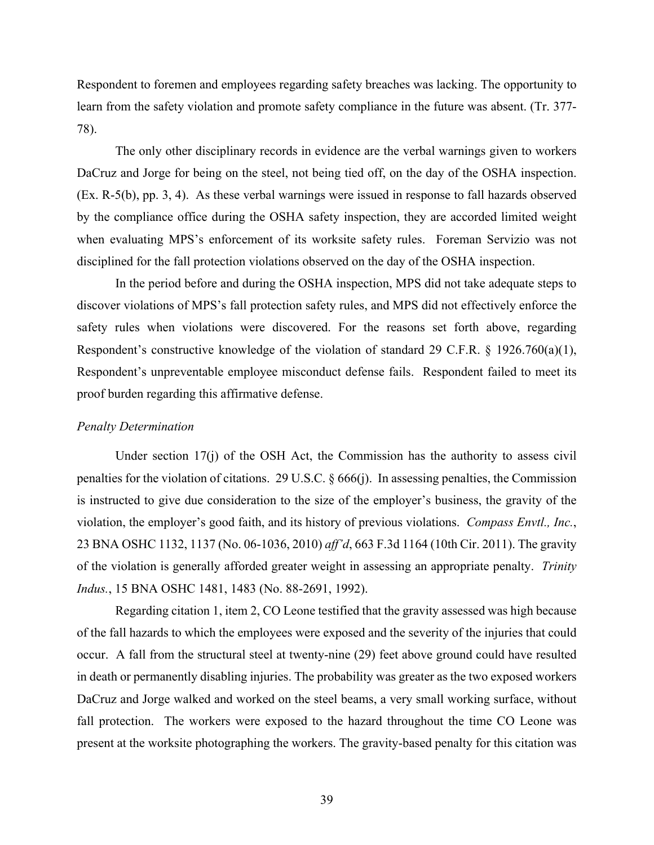Respondent to foremen and employees regarding safety breaches was lacking. The opportunity to learn from the safety violation and promote safety compliance in the future was absent. (Tr. 377- 78).

The only other disciplinary records in evidence are the verbal warnings given to workers DaCruz and Jorge for being on the steel, not being tied off, on the day of the OSHA inspection. (Ex. R-5(b), pp. 3, 4). As these verbal warnings were issued in response to fall hazards observed by the compliance office during the OSHA safety inspection, they are accorded limited weight when evaluating MPS's enforcement of its worksite safety rules. Foreman Servizio was not disciplined for the fall protection violations observed on the day of the OSHA inspection.

In the period before and during the OSHA inspection, MPS did not take adequate steps to discover violations of MPS's fall protection safety rules, and MPS did not effectively enforce the safety rules when violations were discovered. For the reasons set forth above, regarding Respondent's constructive knowledge of the violation of standard 29 C.F.R. § 1926.760(a)(1), Respondent's unpreventable employee misconduct defense fails. Respondent failed to meet its proof burden regarding this affirmative defense.

#### *Penalty Determination*

Under section 17(j) of the OSH Act, the Commission has the authority to assess civil penalties for the violation of citations. 29 U.S.C. § 666(j). In assessing penalties, the Commission is instructed to give due consideration to the size of the employer's business, the gravity of the violation, the employer's good faith, and its history of previous violations. *Compass Envtl., Inc.*, 23 BNA OSHC 1132, 1137 (No. 06-1036, 2010) *aff'd*, 663 F.3d 1164 (10th Cir. 2011). The gravity of the violation is generally afforded greater weight in assessing an appropriate penalty. *Trinity Indus.*, 15 BNA OSHC 1481, 1483 (No. 88-2691, 1992).

Regarding citation 1, item 2, CO Leone testified that the gravity assessed was high because of the fall hazards to which the employees were exposed and the severity of the injuries that could occur. A fall from the structural steel at twenty-nine (29) feet above ground could have resulted in death or permanently disabling injuries. The probability was greater as the two exposed workers DaCruz and Jorge walked and worked on the steel beams, a very small working surface, without fall protection. The workers were exposed to the hazard throughout the time CO Leone was present at the worksite photographing the workers. The gravity-based penalty for this citation was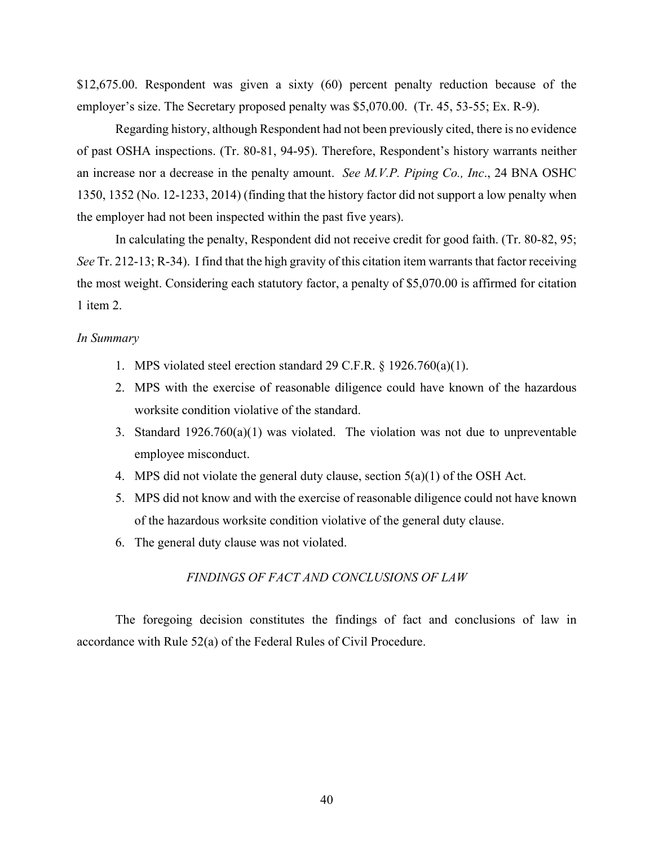\$12,675.00. Respondent was given a sixty (60) percent penalty reduction because of the employer's size. The Secretary proposed penalty was \$5,070.00. (Tr. 45, 53-55; Ex. R-9).

Regarding history, although Respondent had not been previously cited, there is no evidence of past OSHA inspections. (Tr. 80-81, 94-95). Therefore, Respondent's history warrants neither an increase nor a decrease in the penalty amount. *See M.V.P. Piping Co., Inc*., 24 BNA OSHC 1350, 1352 (No. 12-1233, 2014) (finding that the history factor did not support a low penalty when the employer had not been inspected within the past five years).

In calculating the penalty, Respondent did not receive credit for good faith. (Tr. 80-82, 95; *See* Tr. 212-13; R-34). I find that the high gravity of this citation item warrants that factor receiving the most weight. Considering each statutory factor, a penalty of \$5,070.00 is affirmed for citation 1 item 2.

#### *In Summary*

- 1. MPS violated steel erection standard 29 C.F.R. § 1926.760(a)(1).
- 2. MPS with the exercise of reasonable diligence could have known of the hazardous worksite condition violative of the standard.
- 3. Standard 1926.760(a)(1) was violated. The violation was not due to unpreventable employee misconduct.
- 4. MPS did not violate the general duty clause, section 5(a)(1) of the OSH Act.
- 5. MPS did not know and with the exercise of reasonable diligence could not have known of the hazardous worksite condition violative of the general duty clause.
- 6. The general duty clause was not violated.

### *FINDINGS OF FACT AND CONCLUSIONS OF LAW*

The foregoing decision constitutes the findings of fact and conclusions of law in accordance with Rule 52(a) of the Federal Rules of Civil Procedure.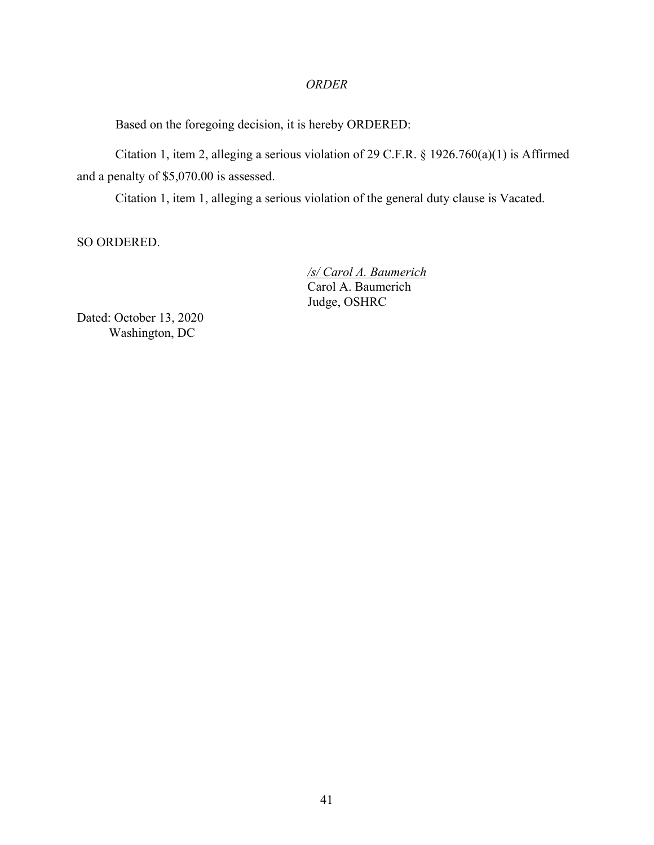# *ORDER*

Based on the foregoing decision, it is hereby ORDERED:

Citation 1, item 2, alleging a serious violation of 29 C.F.R. § 1926.760(a)(1) is Affirmed and a penalty of \$5,070.00 is assessed.

Citation 1, item 1, alleging a serious violation of the general duty clause is Vacated.

SO ORDERED.

 */s/ Carol A. Baumerich*  Carol A. Baumerich Judge, OSHRC

Dated: October 13, 2020 Washington, DC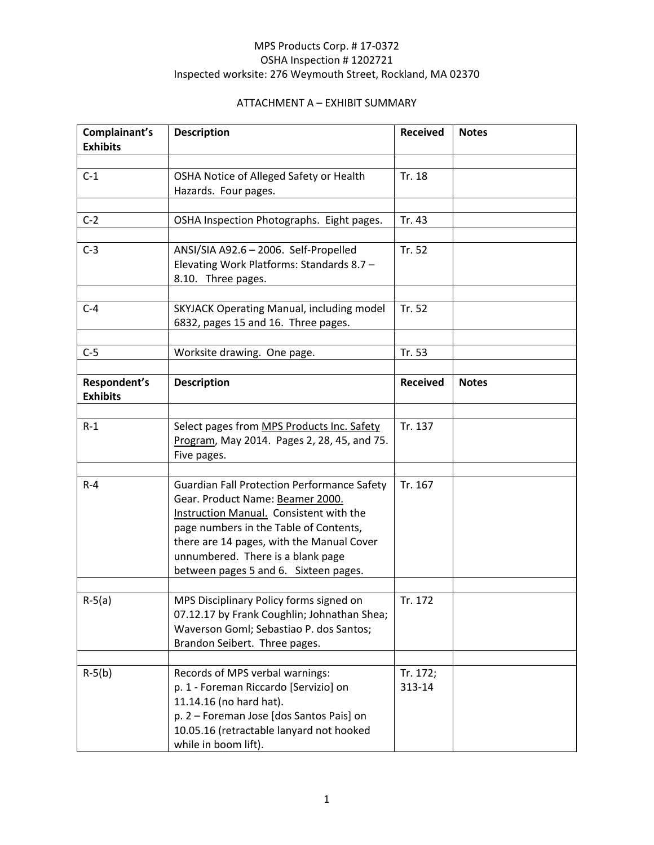| Complainant's<br><b>Description</b><br><b>Exhibits</b> |                                                                                                                                                                                                                                                                                                        | <b>Received</b>    | <b>Notes</b> |  |  |
|--------------------------------------------------------|--------------------------------------------------------------------------------------------------------------------------------------------------------------------------------------------------------------------------------------------------------------------------------------------------------|--------------------|--------------|--|--|
|                                                        |                                                                                                                                                                                                                                                                                                        |                    |              |  |  |
| $C-1$                                                  | OSHA Notice of Alleged Safety or Health<br>Hazards. Four pages.                                                                                                                                                                                                                                        |                    |              |  |  |
|                                                        |                                                                                                                                                                                                                                                                                                        |                    |              |  |  |
| $C-2$                                                  | OSHA Inspection Photographs. Eight pages.                                                                                                                                                                                                                                                              | Tr. 43             |              |  |  |
| $C-3$                                                  | ANSI/SIA A92.6 - 2006. Self-Propelled<br>Elevating Work Platforms: Standards 8.7 -<br>8.10. Three pages.                                                                                                                                                                                               | Tr. 52             |              |  |  |
| $C-4$                                                  | SKYJACK Operating Manual, including model<br>6832, pages 15 and 16. Three pages.                                                                                                                                                                                                                       | Tr. 52             |              |  |  |
| $C-5$                                                  |                                                                                                                                                                                                                                                                                                        | Tr. 53             |              |  |  |
|                                                        | Worksite drawing. One page.                                                                                                                                                                                                                                                                            |                    |              |  |  |
| Respondent's<br><b>Exhibits</b>                        | <b>Description</b>                                                                                                                                                                                                                                                                                     | <b>Received</b>    | <b>Notes</b> |  |  |
| $R-1$                                                  | Select pages from MPS Products Inc. Safety<br>Program, May 2014. Pages 2, 28, 45, and 75.<br>Five pages.                                                                                                                                                                                               | Tr. 137            |              |  |  |
| $R - 4$                                                | <b>Guardian Fall Protection Performance Safety</b><br>Gear. Product Name: Beamer 2000.<br>Instruction Manual. Consistent with the<br>page numbers in the Table of Contents,<br>there are 14 pages, with the Manual Cover<br>unnumbered. There is a blank page<br>between pages 5 and 6. Sixteen pages. | Tr. 167            |              |  |  |
| $R-5(a)$                                               | MPS Disciplinary Policy forms signed on<br>07.12.17 by Frank Coughlin; Johnathan Shea;<br>Waverson Goml; Sebastiao P. dos Santos;<br>Brandon Seibert. Three pages.                                                                                                                                     | Tr. 172            |              |  |  |
| $R-5(b)$                                               | Records of MPS verbal warnings:<br>p. 1 - Foreman Riccardo [Servizio] on<br>11.14.16 (no hard hat).<br>p. 2 - Foreman Jose [dos Santos Pais] on<br>10.05.16 (retractable lanyard not hooked<br>while in boom lift).                                                                                    | Tr. 172;<br>313-14 |              |  |  |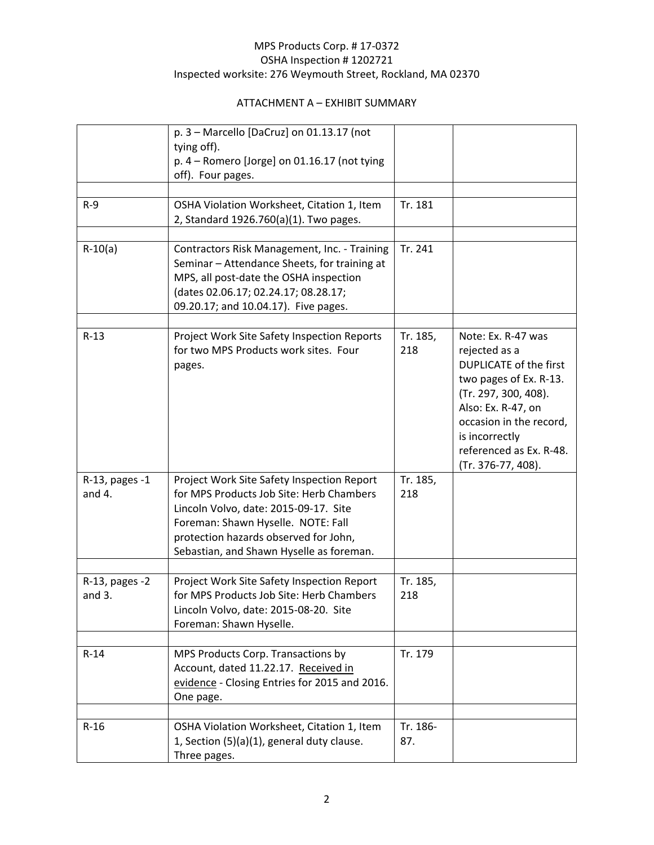|                            | $p. 3 -$ Marcello [DaCruz] on 01.13.17 (not<br>tying off).<br>p. 4 - Romero [Jorge] on 01.16.17 (not tying<br>off). Four pages.                                                                                                                            |                 |                                                                                                                                                                                                                                            |
|----------------------------|------------------------------------------------------------------------------------------------------------------------------------------------------------------------------------------------------------------------------------------------------------|-----------------|--------------------------------------------------------------------------------------------------------------------------------------------------------------------------------------------------------------------------------------------|
|                            |                                                                                                                                                                                                                                                            |                 |                                                                                                                                                                                                                                            |
| $R-9$                      | OSHA Violation Worksheet, Citation 1, Item<br>2, Standard 1926.760(a)(1). Two pages.                                                                                                                                                                       | Tr. 181         |                                                                                                                                                                                                                                            |
| $R-10(a)$                  | Contractors Risk Management, Inc. - Training                                                                                                                                                                                                               | Tr. 241         |                                                                                                                                                                                                                                            |
|                            | Seminar - Attendance Sheets, for training at<br>MPS, all post-date the OSHA inspection<br>(dates 02.06.17; 02.24.17; 08.28.17;<br>09.20.17; and 10.04.17). Five pages.                                                                                     |                 |                                                                                                                                                                                                                                            |
|                            |                                                                                                                                                                                                                                                            |                 |                                                                                                                                                                                                                                            |
| $R-13$                     | Project Work Site Safety Inspection Reports<br>for two MPS Products work sites. Four<br>pages.                                                                                                                                                             | Tr. 185,<br>218 | Note: Ex. R-47 was<br>rejected as a<br><b>DUPLICATE of the first</b><br>two pages of Ex. R-13.<br>(Tr. 297, 300, 408).<br>Also: Ex. R-47, on<br>occasion in the record,<br>is incorrectly<br>referenced as Ex. R-48.<br>(Tr. 376-77, 408). |
| R-13, pages -1<br>and 4.   | Project Work Site Safety Inspection Report<br>for MPS Products Job Site: Herb Chambers<br>Lincoln Volvo, date: 2015-09-17. Site<br>Foreman: Shawn Hyselle. NOTE: Fall<br>protection hazards observed for John,<br>Sebastian, and Shawn Hyselle as foreman. | Tr. 185,<br>218 |                                                                                                                                                                                                                                            |
| R-13, pages -2<br>and $3.$ | Project Work Site Safety Inspection Report<br>for MPS Products Job Site: Herb Chambers<br>Lincoln Volvo, date: 2015-08-20. Site<br>Foreman: Shawn Hyselle.                                                                                                 | Tr. 185,<br>218 |                                                                                                                                                                                                                                            |
|                            |                                                                                                                                                                                                                                                            |                 |                                                                                                                                                                                                                                            |
| $R-14$                     | MPS Products Corp. Transactions by<br>Account, dated 11.22.17. Received in<br>evidence - Closing Entries for 2015 and 2016.<br>One page.                                                                                                                   | Tr. 179         |                                                                                                                                                                                                                                            |
|                            |                                                                                                                                                                                                                                                            |                 |                                                                                                                                                                                                                                            |
| $R-16$                     | OSHA Violation Worksheet, Citation 1, Item<br>1, Section (5)(a)(1), general duty clause.<br>Three pages.                                                                                                                                                   | Tr. 186-<br>87. |                                                                                                                                                                                                                                            |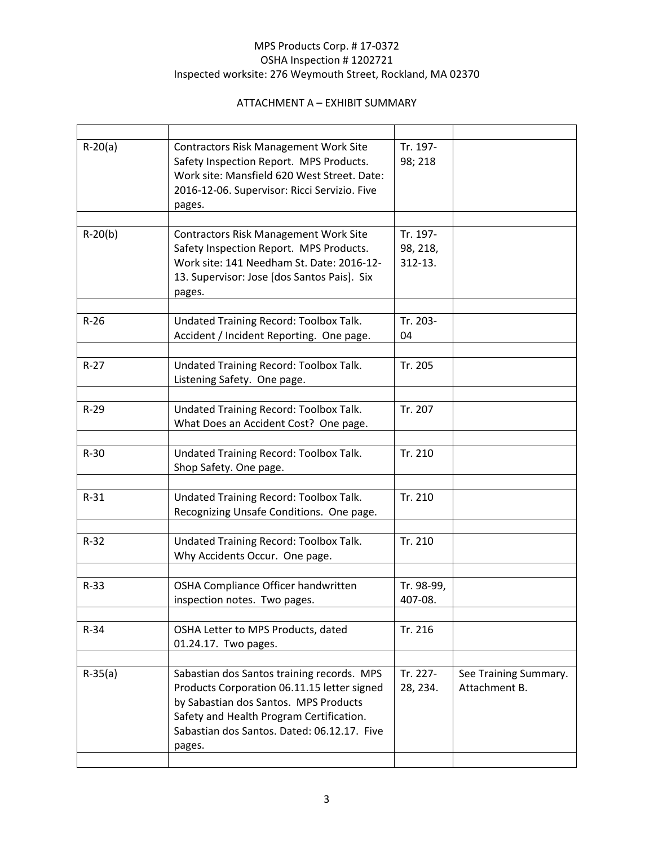| $R-20(a)$ | <b>Contractors Risk Management Work Site</b><br>Safety Inspection Report. MPS Products.<br>Work site: Mansfield 620 West Street. Date:<br>2016-12-06. Supervisor: Ricci Servizio. Five<br>pages.                                        | Tr. 197-<br>98; 218             |                                        |  |
|-----------|-----------------------------------------------------------------------------------------------------------------------------------------------------------------------------------------------------------------------------------------|---------------------------------|----------------------------------------|--|
| $R-20(b)$ | <b>Contractors Risk Management Work Site</b><br>Safety Inspection Report. MPS Products.<br>Work site: 141 Needham St. Date: 2016-12-<br>13. Supervisor: Jose [dos Santos Pais]. Six<br>pages.                                           | Tr. 197-<br>98, 218,<br>312-13. |                                        |  |
| $R-26$    | Undated Training Record: Toolbox Talk.<br>Accident / Incident Reporting. One page.                                                                                                                                                      | Tr. 203-<br>04                  |                                        |  |
| $R-27$    | Undated Training Record: Toolbox Talk.<br>Listening Safety. One page.                                                                                                                                                                   | Tr. 205                         |                                        |  |
| $R-29$    | Undated Training Record: Toolbox Talk.<br>What Does an Accident Cost? One page.                                                                                                                                                         | Tr. 207                         |                                        |  |
| $R-30$    | Undated Training Record: Toolbox Talk.<br>Shop Safety. One page.                                                                                                                                                                        | Tr. 210                         |                                        |  |
| $R-31$    | Undated Training Record: Toolbox Talk.<br>Recognizing Unsafe Conditions. One page.                                                                                                                                                      | Tr. 210                         |                                        |  |
| $R-32$    | Undated Training Record: Toolbox Talk.<br>Why Accidents Occur. One page.                                                                                                                                                                | Tr. 210                         |                                        |  |
| $R-33$    | OSHA Compliance Officer handwritten<br>inspection notes. Two pages.                                                                                                                                                                     | Tr. 98-99,<br>407-08.           |                                        |  |
| $R-34$    | OSHA Letter to MPS Products, dated<br>01.24.17. Two pages.                                                                                                                                                                              | Tr. 216                         |                                        |  |
| $R-35(a)$ | Sabastian dos Santos training records. MPS<br>Products Corporation 06.11.15 letter signed<br>by Sabastian dos Santos. MPS Products<br>Safety and Health Program Certification.<br>Sabastian dos Santos, Dated: 06.12.17. Five<br>pages. | Tr. 227-<br>28, 234.            | See Training Summary.<br>Attachment B. |  |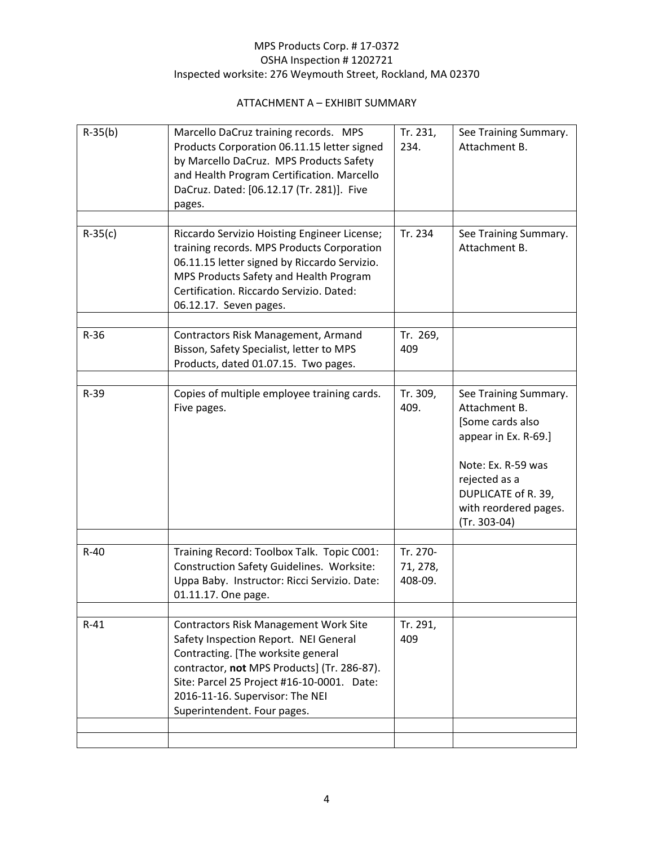| $R-35(b)$ | Marcello DaCruz training records. MPS<br>Products Corporation 06.11.15 letter signed<br>by Marcello DaCruz. MPS Products Safety<br>and Health Program Certification. Marcello<br>DaCruz. Dated: [06.12.17 (Tr. 281)]. Five<br>pages.                                                       | Tr. 231,<br>234.                | See Training Summary.<br>Attachment B.                                                                                                                                                      |
|-----------|--------------------------------------------------------------------------------------------------------------------------------------------------------------------------------------------------------------------------------------------------------------------------------------------|---------------------------------|---------------------------------------------------------------------------------------------------------------------------------------------------------------------------------------------|
|           |                                                                                                                                                                                                                                                                                            |                                 |                                                                                                                                                                                             |
| $R-35(c)$ | Riccardo Servizio Hoisting Engineer License;<br>training records. MPS Products Corporation<br>06.11.15 letter signed by Riccardo Servizio.<br>MPS Products Safety and Health Program<br>Certification. Riccardo Servizio. Dated:<br>06.12.17. Seven pages.                                 | Tr. 234                         | See Training Summary.<br>Attachment B.                                                                                                                                                      |
|           |                                                                                                                                                                                                                                                                                            |                                 |                                                                                                                                                                                             |
| $R-36$    | Contractors Risk Management, Armand<br>Bisson, Safety Specialist, letter to MPS<br>Products, dated 01.07.15. Two pages.                                                                                                                                                                    | Tr. 269,<br>409                 |                                                                                                                                                                                             |
|           |                                                                                                                                                                                                                                                                                            |                                 |                                                                                                                                                                                             |
| $R-39$    | Copies of multiple employee training cards.<br>Five pages.                                                                                                                                                                                                                                 | Tr. 309,<br>409.                | See Training Summary.<br>Attachment B.<br>[Some cards also<br>appear in Ex. R-69.]<br>Note: Ex. R-59 was<br>rejected as a<br>DUPLICATE of R. 39,<br>with reordered pages.<br>$(Tr. 303-04)$ |
|           |                                                                                                                                                                                                                                                                                            |                                 |                                                                                                                                                                                             |
| $R-40$    | Training Record: Toolbox Talk. Topic C001:<br><b>Construction Safety Guidelines. Worksite:</b><br>Uppa Baby. Instructor: Ricci Servizio. Date:<br>01.11.17. One page.                                                                                                                      | Tr. 270-<br>71, 278,<br>408-09. |                                                                                                                                                                                             |
|           |                                                                                                                                                                                                                                                                                            |                                 |                                                                                                                                                                                             |
| $R-41$    | <b>Contractors Risk Management Work Site</b><br>Safety Inspection Report. NEI General<br>Contracting. [The worksite general<br>contractor, not MPS Products] (Tr. 286-87).<br>Site: Parcel 25 Project #16-10-0001. Date:<br>2016-11-16. Supervisor: The NEI<br>Superintendent. Four pages. | Tr. 291,<br>409                 |                                                                                                                                                                                             |
|           |                                                                                                                                                                                                                                                                                            |                                 |                                                                                                                                                                                             |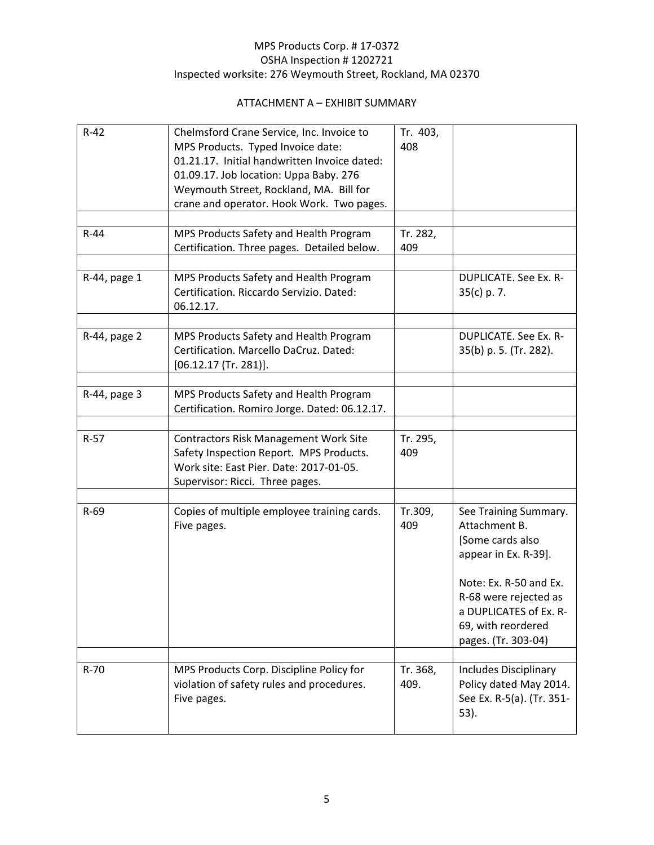| $R-42$       | Chelmsford Crane Service, Inc. Invoice to<br>MPS Products. Typed Invoice date:<br>01.21.17. Initial handwritten Invoice dated:<br>01.09.17. Job location: Uppa Baby. 276<br>Weymouth Street, Rockland, MA. Bill for<br>crane and operator. Hook Work. Two pages. | Tr. 403,<br>408  |                                                                                                                                                                                                              |
|--------------|------------------------------------------------------------------------------------------------------------------------------------------------------------------------------------------------------------------------------------------------------------------|------------------|--------------------------------------------------------------------------------------------------------------------------------------------------------------------------------------------------------------|
| $R-44$       | MPS Products Safety and Health Program                                                                                                                                                                                                                           | Tr. 282,         |                                                                                                                                                                                                              |
|              | Certification. Three pages. Detailed below.                                                                                                                                                                                                                      | 409              |                                                                                                                                                                                                              |
| R-44, page 1 | MPS Products Safety and Health Program<br>Certification. Riccardo Servizio. Dated:<br>06.12.17.                                                                                                                                                                  |                  | <b>DUPLICATE. See Ex. R-</b><br>$35(c)$ p. 7.                                                                                                                                                                |
| R-44, page 2 | MPS Products Safety and Health Program<br>Certification. Marcello DaCruz. Dated:<br>$[06.12.17$ (Tr. 281)].                                                                                                                                                      |                  | <b>DUPLICATE, See Ex. R-</b><br>35(b) p. 5. (Tr. 282).                                                                                                                                                       |
| R-44, page 3 | MPS Products Safety and Health Program                                                                                                                                                                                                                           |                  |                                                                                                                                                                                                              |
|              | Certification. Romiro Jorge. Dated: 06.12.17.                                                                                                                                                                                                                    |                  |                                                                                                                                                                                                              |
| $R-57$       | <b>Contractors Risk Management Work Site</b>                                                                                                                                                                                                                     | Tr. 295,         |                                                                                                                                                                                                              |
|              | Safety Inspection Report. MPS Products.<br>Work site: East Pier. Date: 2017-01-05.<br>Supervisor: Ricci. Three pages.                                                                                                                                            | 409              |                                                                                                                                                                                                              |
|              |                                                                                                                                                                                                                                                                  |                  |                                                                                                                                                                                                              |
| $R-69$       | Copies of multiple employee training cards.<br>Five pages.                                                                                                                                                                                                       | Tr.309,<br>409   | See Training Summary.<br>Attachment B.<br>[Some cards also<br>appear in Ex. R-39].<br>Note: Ex. R-50 and Ex.<br>R-68 were rejected as<br>a DUPLICATES of Ex. R-<br>69, with reordered<br>pages. (Tr. 303-04) |
|              |                                                                                                                                                                                                                                                                  |                  |                                                                                                                                                                                                              |
| $R-70$       | MPS Products Corp. Discipline Policy for<br>violation of safety rules and procedures.<br>Five pages.                                                                                                                                                             | Tr. 368,<br>409. | Includes Disciplinary<br>Policy dated May 2014.<br>See Ex. R-5(a). (Tr. 351-<br>53).                                                                                                                         |